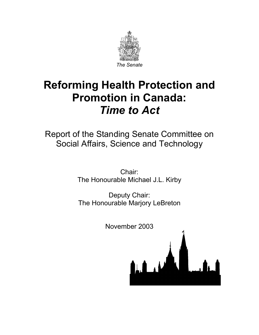

# **Reforming Health Protection and Promotion in Canada:**  *Time to Act*

Report of the Standing Senate Committee on Social Affairs, Science and Technology

> Chair: The Honourable Michael J.L. Kirby

> Deputy Chair: The Honourable Marjory LeBreton

> > November 2003

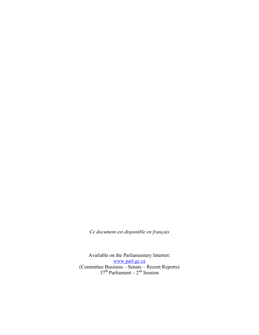*Ce document est disponible en français* 

Available on the Parliamentary Internet: www.parl.gc.ca (Committee Business – Senate – Recent Reports)  $37<sup>th</sup>$  Parliament –  $2<sup>nd</sup>$  Session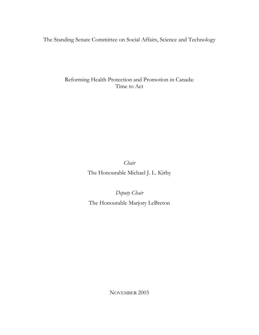The Standing Senate Committee on Social Affairs, Science and Technology

Reforming Health Protection and Promotion in Canada: Time to Act

*Chair* 

The Honourable Michael J. L. Kirby

*Deputy Chair* 

The Honourable Marjory LeBreton

NOVEMBER 2003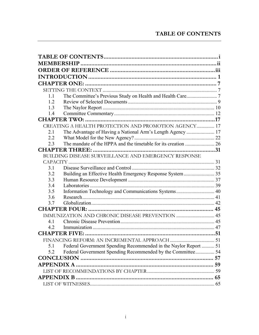### **TABLE OF CONTENTS**

| 1.1 |                                                                  |  |
|-----|------------------------------------------------------------------|--|
| 1.2 |                                                                  |  |
| 1.3 |                                                                  |  |
| 1.4 |                                                                  |  |
|     |                                                                  |  |
|     | CREATING A HEALTH PROTECTION AND PROMOTION AGENCY 17             |  |
| 2.1 |                                                                  |  |
| 2.2 |                                                                  |  |
| 2.3 |                                                                  |  |
|     |                                                                  |  |
|     | BUILDING DISEASE SURVEILLANCE AND EMERGENCY RESPONSE             |  |
|     |                                                                  |  |
| 3.1 |                                                                  |  |
| 3.2 | Building an Effective Health Emergency Response System  35       |  |
| 3.3 |                                                                  |  |
| 3.4 |                                                                  |  |
| 3.5 | Information Technology and Communications Systems 40             |  |
| 3.6 |                                                                  |  |
| 3.7 |                                                                  |  |
|     |                                                                  |  |
|     | IMMUNIZATION AND CHRONIC DISEASE PREVENTION  45                  |  |
| 4.1 |                                                                  |  |
| 4.2 |                                                                  |  |
|     |                                                                  |  |
|     |                                                                  |  |
| 5.1 | Federal Government Spending Recommended in the Naylor Report  51 |  |
| 5.2 | Federal Government Spending Recommended by the Committee54       |  |
|     |                                                                  |  |
|     |                                                                  |  |
|     |                                                                  |  |
|     |                                                                  |  |
|     |                                                                  |  |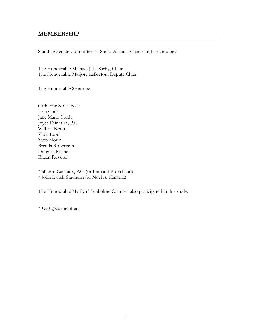#### **MEMBERSHIP**

Standing Senate Committee on Social Affairs, Science and Technology

The Honourable Michael J. L. Kirby, Chair The Honourable Marjory LeBreton, Deputy Chair

The Honourable Senators:

Catherine S. Callbeck Joan Cook Jane Marie Cordy Joyce Fairbairn, P.C. Wilbert Keon Viola Léger Yves Morin Brenda Robertson Douglas Roche Eileen Rossiter

\* Sharon Carstairs, P.C. (or Fernand Robichaud) \* John Lynch-Staunton (or Noel A. Kinsella)

The Honourable Marilyn Trenholme Counsell also participated in this study.

\* *Ex Officio* members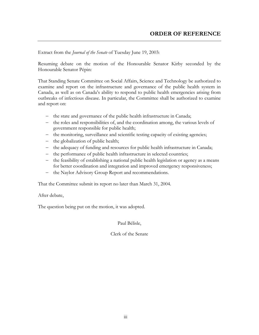Extract from the *Journal of the Senate* of Tuesday June 19, 2003:

Resuming debate on the motion of the Honourable Senator Kirby seconded by the Honourable Senator Pépin:

That Standing Senate Committee on Social Affairs, Science and Technology be authorized to examine and report on the infrastructure and governance of the public health system in Canada, as well as on Canada's ability to respond to public health emergencies arising from outbreaks of infectious disease. In particular, the Committee shall be authorized to examine and report on:

- − the state and governance of the public health infrastructure in Canada;
- − the roles and responsibilities of, and the coordination among, the various levels of government responsible for public health;
- − the monitoring, surveillance and scientific testing capacity of existing agencies;
- − the globalization of public health;
- − the adequacy of funding and resources for public health infrastructure in Canada;
- − the performance of public health infrastructure in selected countries;
- − the feasibility of establishing a national public health legislation or agency as a means for better coordination and integration and improved emergency responsiveness;
- − the Naylor Advisory Group Report and recommendations.

That the Committee submit its report no later than March 31, 2004.

After debate,

The question being put on the motion, it was adopted.

Paul Bélisle,

Clerk of the Senate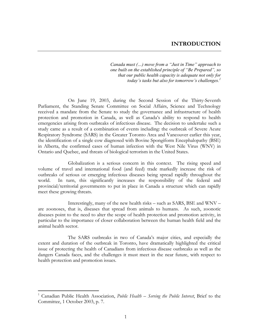*Canada must (…) move from a "Just in Time" approach to one built on the established principle of "Be Prepared", so that our public health capacity is adequate not only for today's tasks but also for tomorrow's challenges.<sup>1</sup>*

 On June 19, 2003, during the Second Session of the Thirty-Seventh Parliament, the Standing Senate Committee on Social Affairs, Science and Technology received a mandate from the Senate to study the governance and infrastructure of health protection and promotion in Canada, as well as Canada's ability to respond to health emergencies arising from outbreaks of infectious disease. The decision to undertake such a study came as a result of a combination of events including: the outbreak of Severe Acute Respiratory Syndrome (SARS) in the Greater Toronto Area and Vancouver earlier this year, the identification of a single cow diagnosed with Bovine Spongiform Encephalopathy (BSE) in Alberta, the confirmed cases of human infection with the West Nile Virus (WNV) in Ontario and Quebec, and threats of biological terrorism in the United States.

 Globalization is a serious concern in this context. The rising speed and volume of travel and international food (and feed) trade markedly increase the risk of outbreaks of serious or emerging infectious diseases being spread rapidly throughout the world. In turn, this significantly increases the responsibility of the federal and provincial/territorial governments to put in place in Canada a structure which can rapidly meet these growing threats.

 Interestingly, many of the new health risks – such as SARS, BSE and WNV – are zoonoses, that is, diseases that spread from animals to humans. As such, zoonotic diseases point to the need to alter the scope of health protection and promotion activity, in particular to the importance of closer collaboration between the human health field and the animal health sector.

 The SARS outbreaks in two of Canada's major cities, and especially the extent and duration of the outbreak in Toronto, have dramatically highlighted the critical issue of protecting the health of Canadians from infectious disease outbreaks as well as the dangers Canada faces, and the challenges it must meet in the near future, with respect to health protection and promotion issues.

<sup>&</sup>lt;sup>1</sup> Canadian Public Health Association, *Public Health – Serving the Public Interest*, Brief to the Committee, 1 October 2003, p. 7.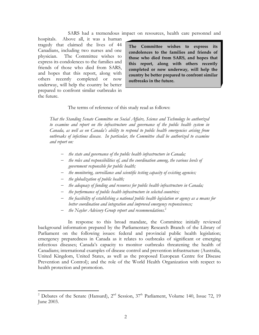SARS had a tremendous impact on resources, health care personnel and

hospitals. Above all, it was a human tragedy that claimed the lives of 44 Canadians, including two nurses and one physician. The Committee wishes to express its condolences to the families and friends of those who died from SARS, and hopes that this report, along with others recently completed or now underway, will help the country be better prepared to confront similar outbreaks in the future.

**The Committee wishes to express its condolences to the families and friends of those who died from SARS, and hopes that this report, along with others recently completed or now underway, will help the country be better prepared to confront similar outbreaks in the future.** 

The terms of reference of this study read as follows:

*That the Standing Senate Committee on Social Affairs, Science and Technology be authorized to examine and report on the infrastructure and governance of the public health system in Canada, as well as on Canada's ability to respond to public health emergencies arising from outbreaks of infectious disease. In particular, the Committee shall be authorized to examine and report on:* 

- − *the state and governance of the public health infrastructure in Canada;*
- − *the roles and responsibilities of, and the coordination among, the various levels of government responsible for public health;*
- − *the monitoring, surveillance and scientific testing capacity of existing agencies;*
- − *the globalization of public health;*

 $\overline{a}$ 

- − *the adequacy of funding and resources for public health infrastructure in Canada;*
- − *the performance of public health infrastructure in selected countries;*
- − *the feasibility of establishing a national public health legislation or agency as a means for better coordination and integration and improved emergency responsiveness;*
- − *the Naylor Advisory Group report and recommendations.*<sup>2</sup>

 In response to this broad mandate, the Committee initially reviewed background information prepared by the Parliamentary Research Branch of the Library of Parliament on the following issues: federal and provincial public health legislation; emergency preparedness in Canada as it relates to outbreaks of significant or emerging infectious diseases; Canada's capacity to monitor outbreaks threatening the health of Canadians; international examples of disease control and prevention infrastructure (Australia, United Kingdom, United States, as well as the proposed European Centre for Disease Prevention and Control); and the role of the World Health Organization with respect to health protection and promotion.

<sup>&</sup>lt;sup>2</sup> Debates of the Senate (Hansard), 2<sup>nd</sup> Session, 37<sup>th</sup> Parliament, Volume 140, Issue 72, 19 June 2003.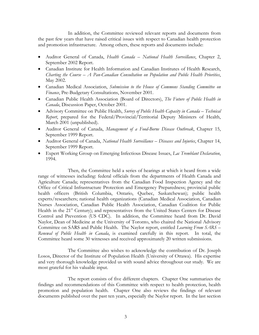In addition, the Committee reviewed relevant reports and documents from the past few years that have raised critical issues with respect to Canadian health protection and promotion infrastructure. Among others, these reports and documents include:

- Auditor General of Canada, *Health Canada National Health Surveillance*, Chapter 2, September 2002 Report.
- Canadian Institute for Health Information and Canadian Institutes of Health Research, *Charting the Course – A Pan-Canadian Consultation on Population and Public Health Priorities*, May 2002.
- Canadian Medical Association, *Submission to the House of Commons Standing Committee on Finance*, Pre-Budgetary Consultations, November 2001.
- Canadian Public Health Association (Board of Directors), *The Future of Public Health in Canada*, Discussion Paper, October 2001.
- Advisory Committee on Public Health, *Survey of Public Health Capacity in Canada Technical Report*, prepared for the Federal/Provincial/Territorial Deputy Ministers of Health, March 2001 (unpublished).
- Auditor General of Canada, *Management of a Food-Borne Disease Outbreak*, Chapter 15, September 1999 Report.
- Auditor General of Canada, *National Health Surveillance Diseases and Injuries*, Chapter 14, September 1999 Report.
- Expert Working Group on Emerging Infectious Disease Issues, *Lac Tremblant Declaration*, 1994.

 Then, the Committee held a series of hearings at which it heard from a wide range of witnesses including: federal officials from the departments of Health Canada and Agriculture Canada; representatives from the Canadian Food Inspection Agency and the Office of Critical Infrastructure Protection and Emergency Preparedness; provincial public health officers (British Columbia, Ontario, Quebec, Saskatchewan); public health experts/researchers; national health organizations (Canadian Medical Association, Canadian Nurses Association, Canadian Public Health Association, Canadian Coalition for Public Health in the 21<sup>st</sup> Century); and representatives from the United States Centers for Disease Control and Prevention (US CDC). In addition, the Committee heard from Dr. David Naylor, Dean of Medicine at the University of Toronto, who chaired the National Advisory Committee on SARS and Public Health. The Naylor report, entitled *Learning From SARS – Renewal of Public Health in Canada*, is examined carefully in this report. In total, the Committee heard some 30 witnesses and received approximately 20 written submissions.

 The Committee also wishes to acknowledge the contribution of Dr. Joseph Losos, Director of the Institute of Population Health (University of Ottawa). His expertise and very thorough knowledge provided us with sound advice throughout our study. We are most grateful for his valuable input.

 The report consists of five different chapters. Chapter One summarizes the findings and recommendations of this Committee with respect to health protection, health promotion and population health. Chapter One also reviews the findings of relevant documents published over the past ten years, especially the Naylor report. In the last section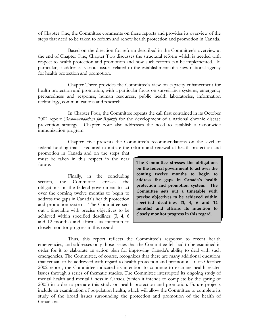of Chapter One, the Committee comments on these reports and provides its overview of the steps that need to be taken to reform and renew health protection and promotion in Canada.

 Based on the direction for reform described in the Committee's overview at the end of Chapter One, Chapter Two discusses the structural reform which is needed with respect to health protection and promotion and how such reform can be implemented. In particular, it addresses various issues related to the establishment of a new national agency for health protection and promotion.

 Chapter Three provides the Committee's view on capacity enhancement for health protection and promotion, with a particular focus on surveillance systems, emergency preparedness and response, human resources, public health laboratories, information technology, communications and research.

 In Chapter Four, the Committee repeats the call first contained in its October 2002 report (*Recommendations for Reform*) for the development of a national chronic disease prevention strategy. Chapter Four also addresses the need to establish a nationwide immunization program.

 Chapter Five presents the Committee's recommendations on the level of federal funding that is required to initiate the reform and renewal of health protection and

promotion in Canada and on the steps that must be taken in this respect in the near future.

 Finally, in the concluding section, the Committee stresses the obligations on the federal government to act over the coming twelve months to begin to address the gaps in Canada's health protection and promotion system. The Committee sets out a timetable with precise objectives to be achieved within specified deadlines (3, 4, 6 and 12 months) and affirms its intention to closely monitor progress in this regard.

**The Committee stresses the obligations on the federal government to act over the coming twelve months to begin to address the gaps in Canada's health protection and promotion system. The Committee sets out a timetable with precise objectives to be achieved within specified deadlines (3, 4, 6 and 12 months) and affirms its intention to closely monitor progress in this regard.** 

 Thus, this report reflects the Committee's response to recent health emergencies, and addresses only those issues that the Committee felt had to be examined in order for it to elaborate an action plan for improving Canada's ability to deal with such emergencies. The Committee, of course, recognizes that there are many additional questions that remain to be addressed with regard to health protection and promotion. In its October 2002 report, the Committee indicated its intention to continue to examine health related issues through a series of thematic studies. The Committee interrupted its ongoing study of mental health and mental illness in Canada (which it intends to complete by the spring of 2005) in order to prepare this study on health protection and promotion. Future projects include an examination of population health, which will allow the Committee to complete its study of the broad issues surrounding the protection and promotion of the health of Canadians.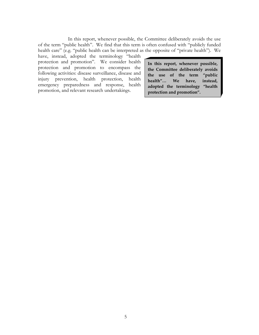In this report, whenever possible, the Committee deliberately avoids the use of the term "public health". We find that this term is often confused with "publicly funded health care" (e.g. "public health can be interpreted as the opposite of "private health"). We

have, instead, adopted the terminology "health protection and promotion". We consider health protection and promotion to encompass the following activities: disease surveillance, disease and injury prevention, health protection, health emergency preparedness and response, health promotion, and relevant research undertakings.

**In this report, whenever possible, the Committee deliberately avoids the use of the term "public health"… We have, instead, adopted the terminology "health protection and promotion".**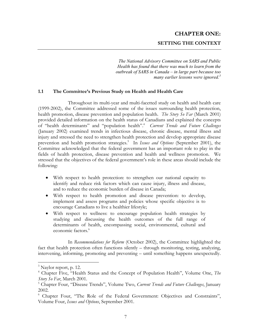## **CHAPTER ONE: SETTING THE CONTEXT**

*The National Advisory Committee on SARS and Public Health has found that there was much to learn from the outbreak of SARS in Canada – in large part because too many earlier lessons were ignored.3*

#### **1.1 The Committee's Previous Study on Health and Health Care**

 Throughout its multi-year and multi-facetted study on health and health care (1999-2002), the Committee addressed some of the issues surrounding health protection, health promotion, disease prevention and population health. *The Story So Far* (March 2001) provided detailed information on the health status of Canadians and explained the concepts of "health determinants" and "population health".<sup>4</sup> Current Trends and Future Challenges (January 2002) examined trends in infectious disease, chronic disease, mental illness and injury and stressed the need to strengthen health protection and develop appropriate disease prevention and health promotion strategies.<sup>5</sup> In *Issues and Options* (September 2001), the Committee acknowledged that the federal government has an important role to play in the fields of health protection, disease prevention and health and wellness promotion. We stressed that the objectives of the federal government's role in these areas should include the following:

- With respect to health protection: to strengthen our national capacity to identify and reduce risk factors which can cause injury, illness and disease, and to reduce the economic burden of disease in Canada;
- With respect to health promotion and disease prevention: to develop, implement and assess programs and policies whose specific objective is to encourage Canadians to live a healthier lifestyle;
- With respect to wellness: to encourage population health strategies by studying and discussing the health outcomes of the full range of determinants of health, encompassing social, environmental, cultural and economic factors.<sup>6</sup>

 In *Recommendations for Reform* (October 2002), the Committee highlighted the fact that health protection often functions silently – through monitoring, testing, analyzing, intervening, informing, promoting and preventing – until something happens unexpectedly.

1

<sup>&</sup>lt;sup>3</sup> Naylor report, p. 12.

<sup>4</sup> Chapter Five, "Health Status and the Concept of Population Health", Volume One, *The Story So Far*, March 2001.

<sup>5</sup> Chapter Four, "Disease Trends", Volume Two, *Current Trends and Future Challenges*, January 2002.

<sup>&</sup>lt;sup>6</sup> Chapter Four, "The Role of the Federal Government: Objectives and Constraints", Volume Four, *Issues and Options*, September 2001.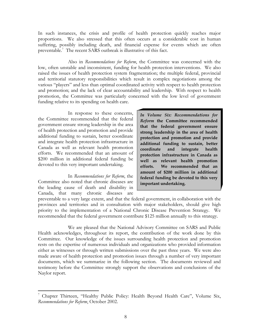In such instances, the crisis and profile of health protection quickly reaches major proportions. We also stressed that this often occurs at a considerable cost in human suffering, possibly including death, and financial expense for events which are often preventable.<sup>7</sup> The recent SARS outbreak is illustrative of this fact.

 Also in *Recommendations for Reform*, the Committee was concerned with the low, often unstable and inconsistent, funding for health protection interventions. We also raised the issues of health protection system fragmentation; the multiple federal, provincial and territorial statutory responsibilities which result in complex negotiations among the various "players" and less than optimal coordinated activity with respect to health protection and promotion; and the lack of clear accountability and leadership. With respect to health promotion, the Committee was particularly concerned with the low level of government funding relative to its spending on health care.

 In response to these concerns, the Committee recommended that the federal government ensure strong leadership in the area of health protection and promotion and provide additional funding to sustain, better coordinate and integrate health protection infrastructure in Canada as well as relevant health promotion efforts. We recommended that an amount of \$200 million in additional federal funding be devoted to this very important undertaking.

 In *Recommendations for Reform*, the Committee also noted that chronic diseases are the leading cause of death and disability in Canada, that many chronic diseases are

 $\overline{a}$ 

*In Volume Six: Recommendations for Reform* **the Committee recommended that the federal government ensure strong leadership in the area of health protection and promotion and provide additional funding to sustain, better coordinate and integrate health protection infrastructure in Canada as well as relevant health promotion efforts. We recommended that an amount of \$200 million in additional federal funding be devoted to this very important undertaking.** 

preventable to a very large extent, and that the federal government, in collaboration with the provinces and territories and in consultation with major stakeholders, should give high priority to the implementation of a National Chronic Disease Prevention Strategy. We recommended that the federal government contribute \$125 million annually to this strategy.

 We are pleased that the National Advisory Committee on SARS and Public Health acknowledges, throughout its report, the contribution of the work done by this Committee. Our knowledge of the issues surrounding health protection and promotion rests on the expertise of numerous individuals and organizations who provided information either as witnesses or through written submissions over the past three years. We were also made aware of health protection and promotion issues through a number of very important documents, which we summarize in the following section. The documents reviewed and testimony before the Committee strongly support the observations and conclusions of the Naylor report.

<sup>&</sup>lt;sup>7</sup> Chapter Thirteen, "Healthy Public Policy: Health Beyond Health Care", Volume Six, *Recommendations for Reform*, October 2002.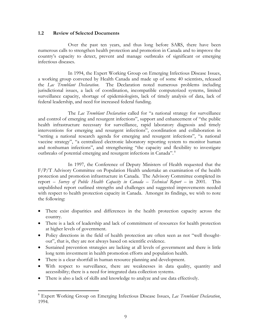#### **1.2 Review of Selected Documents**

 Over the past ten years, and thus long before SARS, there have been numerous calls to strengthen health protection and promotion in Canada and to improve the country's capacity to detect, prevent and manage outbreaks of significant or emerging infectious diseases.

 In 1994, the Expert Working Group on Emerging Infectious Disease Issues, a working group convened by Health Canada and made up of some 40 scientists, released the *Lac Tremblant Declaration*. The Declaration noted numerous problems including jurisdictional issues, a lack of coordination, incompatible computerized systems, limited surveillance capacity, shortage of epidemiologists, lack of timely analysis of data, lack of federal leadership, and need for increased federal funding.

 The *Lac Tremblant Declaration* called for "a national strategy for surveillance and control of emerging and resurgent infections", support and enhancement of "the public health infrastructure necessary for surveillance, rapid laboratory diagnosis and timely interventions for emerging and resurgent infections", coordination and collaboration in "setting a national research agenda for emerging and resurgent infections", "a national vaccine strategy", "a centralized electronic laboratory reporting system to monitor human and nonhuman infections", and strengthening "the capacity and flexibility to investigate outbreaks of potential emerging and resurgent infections in Canada". 8

 In 1997, the Conference of Deputy Ministers of Health requested that the F/P/T Advisory Committee on Population Health undertake an examination of the health protection and promotion infrastructure in Canada. The Advisory Committee completed its report – *Survey of Public Health Capacity in Canada – Technical Report* – in 2001*.* This unpublished report outlined strengths and challenges and suggested improvements needed with respect to health protection capacity in Canada. Amongst its findings, we wish to note the following:

- There exist disparities and differences in the health protection capacity across the country.
- There is a lack of leadership and lack of commitment of resources for health protection at higher levels of government.
- Policy directions in the field of health protection are often seen as not "well thoughtout", that is, they are not always based on scientific evidence.
- Sustained prevention strategies are lacking at all levels of government and there is little long term investment in health promotion efforts and population health.
- There is a clear shortfall in human resource planning and development.

- With respect to surveillance, there are weaknesses in data quality, quantity and accessibility; there is a need for integrated data collection systems.
- There is also a lack of skills and knowledge to analyze and use data effectively.

<sup>8</sup> Expert Working Group on Emerging Infectious Disease Issues, *Lac Tremblant Declaration*, 1994.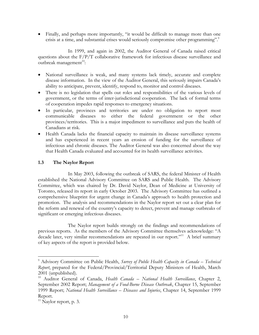• Finally, and perhaps more importantly, "it would be difficult to manage more than one crisis at a time, and substantial crises would seriously compromise other programming".<sup>9</sup>

 In 1999, and again in 2002, the Auditor General of Canada raised critical questions about the  $F/P/T$  collaborative framework for infectious disease surveillance and outbreak management<sup>10</sup>:

- National surveillance is weak, and many systems lack timely, accurate and complete disease information. In the view of the Auditor General, this seriously impairs Canada's ability to anticipate, prevent, identify, respond to, monitor and control diseases.
- There is no legislation that spells out roles and responsibilities of the various levels of government, or the terms of inter-jurisdictional cooperation. The lack of formal terms of cooperation impedes rapid responses to emergency situations.
- In particular, provinces and territories are under no obligation to report most communicable diseases to either the federal government or the other provinces/territories. This is a major impediment to surveillance and puts the health of Canadians at risk.
- Health Canada lacks the financial capacity to maintain its disease surveillance systems and has experienced in recent years an erosion of funding for the surveillance of infectious and chronic diseases. The Auditor General was also concerned about the way that Health Canada evaluated and accounted for its health surveillance activities.

#### **1.3 The Naylor Report**

 In May 2003, following the outbreak of SARS, the federal Minister of Health established the National Advisory Committee on SARS and Public Health. The Advisory Committee, which was chaired by Dr. David Naylor, Dean of Medicine at University of Toronto, released its report in early October 2003. The Advisory Committee has outlined a comprehensive blueprint for urgent change in Canada's approach to health protection and promotion. The analysis and recommendations in the Naylor report set out a clear plan for the reform and renewal of the country's capacity to detect, prevent and manage outbreaks of significant or emerging infectious diseases.

 The Naylor report builds strongly on the findings and recommendations of previous reports. As the members of the Advisory Committee themselves acknowledge: "A decade later, very similar recommendations are repeated in our report."<sup>11</sup> A brief summary of key aspects of the report is provided below.

<sup>9</sup> Advisory Committee on Public Health, *Survey of Public Health Capacity in Canada – Technical Report*, prepared for the Federal/Provincial/Territorial Deputy Ministers of Health, March 2001 (unpublished).

<sup>&</sup>lt;sup>10</sup> Auditor General of Canada, *Health Canada - National Health Surveillance*, Chapter 2, September 2002 Report; *Management of a Food-Borne Disease Outbreak*, Chapter 15, September 1999 Report; *National Health Surveillance – Diseases and Injuries*, Chapter 14, September 1999 Report.

 $11$  Naylor report, p. 3.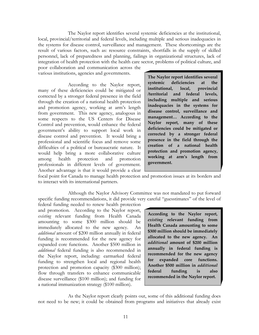The Naylor report identifies several systemic deficiencies at the institutional, local, provincial/territorial and federal levels, including multiple and serious inadequacies in the systems for disease control, surveillance and management. These shortcomings are the result of various factors, such as: resource constraints, shortfalls in the supply of skilled personnel, lack of preparedness and planning, failings in organizational structures, lack of integration of health protection with the health care sector, problems of political culture, and poor collaboration and communication across the

various institutions, agencies and governments.

 According to the Naylor report, many of these deficiencies could be mitigated or corrected by a stronger federal presence in the field through the creation of a national health protection and promotion agency, working at arm's length from government. This new agency, analogous in some respects to the US Centers for Disease Control and prevention, would enhance the federal government's ability to support local work in disease control and prevention. It would bring a professional and scientific focus and remove some difficulties of a political or bureaucratic nature. It would help bring a more collaborative culture among health protection and promotion professionals in different levels of government. Another advantage is that it would provide a clear

**The Naylor report identifies several systemic deficiencies at the institutional, local, provincial /territorial and federal levels, including multiple and serious inadequacies in the systems for disease control, surveillance and management… According to the Naylor report, many of these deficiencies could be mitigated or corrected by a stronger federal presence in the field through the creation of a national health protection and promotion agency, working at arm's length from government.** 

focal point for Canada to manage health protection and promotion issues at its borders and to interact with its international partners.

 Although the Naylor Advisory Committee was not mandated to put forward specific funding recommendations, it did provide very careful "guesstimates" of the level of

federal funding needed to renew health protection and promotion. According to the Naylor report, *existing* relevant funding from Health Canada amounting to some \$300 million should be immediately allocated to the new agency. An *additional* amount of \$200 million annually in federal funding is recommended for the new agency for expanded core functions. Another \$500 million in *additional* federal funding is also recommended in the Naylor report, including: earmarked federal funding to strengthen local and regional health protection and promotion capacity (\$300 million); flow through transfers to enhance communicable disease surveillance (\$100 million); and funding for a national immunization strategy (\$100 million).

**According to the Naylor report,** *existing* **relevant funding from Health Canada amounting to some \$300 million should be immediately allocated to the new agency. An** *additional* **amount of \$200 million annually in federal funding is recommended for the new agency for expanded core functions. Another \$500 million in** *additional* **federal funding is also recommended in the Naylor report.**

 As the Naylor report clearly points out, some of this additional funding does not need to be new; it could be obtained from programs and initiatives that already exist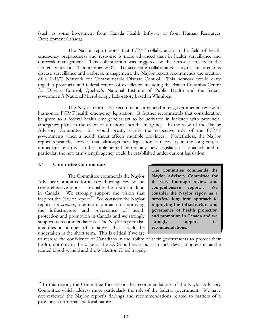(such as some investment from Canada Health Infoway or from Human Resources Development Canada).

The Naylor report notes that  $F/P/T$  collaboration in the field of health emergency preparedness and response is more advanced than in health surveillance and outbreak management. This collaboration was triggered by the terrorist attacks in the United States on 11 September 2001. To accelerate collaborative activities in infectious disease surveillance and outbreak management, the Naylor report recommends the creation of a F/P/T Network for Communicable Disease Control. This network would draw together provincial and federal centres of excellence, including the British Columbia Centre for Disease Control, Quebec's National Institute of Public Health and the federal government's National Microbiology Laboratory based in Winnipeg.

 The Naylor report also recommends a general inter-governmental review to harmonize F/P/T health emergency legislation. It further recommends that consideration be given to a federal health emergencies act to be activated in lockstep with provincial emergency plans in the event of a national health emergency. In the view of the Naylor Advisory Committee, this would greatly clarify the respective role of the F/P/T governments when a health threat affects multiple provinces. Nonetheless, the Naylor report repeatedly stresses that, although new legislation is necessary in the long run, all immediate reforms can be implemented before any new legislation is enacted, and in particular, the new arm's length agency could be established under current legislation.

#### **1.4 Committee Commentary**

 $\overline{a}$ 

 The Committee commends the Naylor Advisory Committee for its very thorough review and comprehensive report – probably the first of its kind in Canada. We strongly support the vision that inspires the Naylor report.<sup>12</sup> We consider the Naylor report as a *practical*, long term approach to improving the infrastructure and governance of health protection and promotion in Canada and we strongly support its recommendations. The Naylor report also identifies a number of initiatives that should be undertaken in the short term. This is critical if we are

**The Committee commends the Naylor Advisory Committee for its very thorough review and comprehensive report… We consider the Naylor report as a** *practical***, long term approach to improving the infrastructure and governance of health protection and promotion in Canada and we strongly support its recommendations.** 

to restore the confidence of Canadians in the ability of their governments to protect their health, not only in the wake of the SARS outbreaks but also such devastating events as the tainted blood scandal and the Walkerton *E. coli* tragedy.

 $12$  In this report, the Committee focuses on the recommendations of the Naylor Advisory Committee which address more particularly the role of the federal government. We have not reviewed the Naylor report's findings and recommendations related to matters of a provincial/territorial and local nature.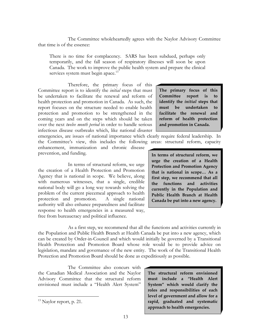The Committee wholeheartedly agrees with the Naylor Advisory Committee that time is of the essence:

There is no time for complacency. SARS has been subdued, perhaps only temporarily, and the fall season of respiratory illnesses will soon be upon Canada. The work to improve the public health system and prepare the clinical services system must begin apace.<sup>13</sup>

 Therefore, the primary focus of this Committee report is to identify the *initial* steps that must be undertaken to facilitate the renewal and reform of health protection and promotion in Canada. As such, the report focuses on the structure needed to enable health protection and promotion to be strengthened in the coming years and on the steps which should be taken over the next *twelve month period* in order to handle serious infectious disease outbreaks which, like national disaster

**The primary focus of this Committee report is to identify the** *initial* **steps that must be undertaken to facilitate the renewal and reform of health protection and promotion in Canada.** 

emergencies, are issues of national importance which clearly require federal leadership. In the Committee's view, this includes the following areas: structural reform, capacity

enhancement, immunization and chronic disease prevention, and funding.

 In terms of structural reform, we urge the creation of a Health Protection and Promotion Agency that is national in scope. We believe, along with numerous witnesses, that a single, credible national body will go a long way towards solving the problem of the current piecemeal approach to health protection and promotion. A single national authority will also enhance preparedness and facilitate response to health emergencies in a measured way, free from bureaucracy and political influence.

**In terms of structural reform, we urge the creation of a Health Protection and Promotion Agency that is national in scope… As a first step, we recommend that all the functions and activities currently in the Population and Public Health Branch at Health Canada be put into a new agency.**

 As a first step, we recommend that all the functions and activities currently in the Population and Public Health Branch at Health Canada be put into a new agency, which can be created by Order-in-Council and which would initially be governed by a Transitional Health Protection and Promotion Board whose role would be to provide advice on legislation, mandate and governance of the new entity. The work of the Transitional Health Protection and Promotion Board should be done as expeditiously as possible.

 The Committee also concurs with the Canadian Medical Association and the Naylor Advisory Committee that the structural reform envisioned must include a "Health Alert System"

 $\overline{a}$ 

**The structural reform envisioned must include a "Health Alert System" which would clarify the roles and responsibilities of each level of government and allow for a rapid, graduated and systematic approach to health emergencies.** 

<sup>&</sup>lt;sup>13</sup> Naylor report, p. 21.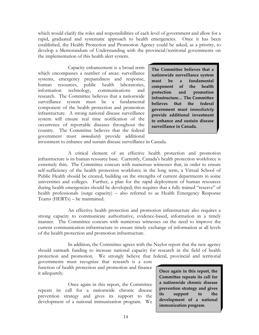which would clarify the roles and responsibilities of each level of government and allow for a rapid, graduated and systematic approach to health emergencies. Once it has been established, the Health Protection and Promotion Agency could be asked, as a priority, to develop a Memorandum of Understanding with the provincial/territorial governments on the implementation of this health alert system.

 Capacity enhancement is a broad term which encompasses a number of areas: surveillance systems, emergency preparedness and response, human resources, public health laboratories, information technology, communications and research. The Committee believes that a nationwide surveillance system must be a fundamental component of the health protection and promotion infrastructure. A strong national disease surveillance system will ensure real time notification of the occurrence of reportable diseases throughout the country. The Committee believes that the federal government must *immediately* provide additional

**The Committee believes that a nationwide surveillance system must be a fundamental component of the health protection and promotion infrastructure… The Committee believes that the federal government must** *immediately* **provide additional investment to enhance and sustain disease surveillance in Canada.** 

investment to enhance and sustain disease surveillance in Canada.

 A critical element of an effective health protection and promotion infrastructure is its human resource base. Currently, Canada's health protection workforce is extremely thin. The Committee concurs with numerous witnesses that, in order to ensure self-sufficiency of the health protection workforce in the long term, a Virtual School of Public Health should be created, building on the strengths of current departments in some universities and colleges. Further, a plan for the rapid deployment of human resources during health emergencies should be developed; this requires that a fully trained "reserve" of health professionals (surge capacity) – also referred to as Health Emergency Response Teams (HERTs) – be maintained.

 An effective health protection and promotion infrastructure also requires a strong capacity to communicate authoritative, evidence-based, information in a timely manner. The Committee concurs with numerous witnesses on the need to improve the current communication infrastructure to ensure timely exchange of information at all levels of the health protection and promotion infrastructure.

 In addition, the Committee agrees with the Naylor report that the new agency should earmark funding to increase national capacity for research in the field of health protection and promotion. We strongly believe that federal, provincial and territorial

governments must recognize that research is a core function of health protection and promotion and finance it adequately.

 Once again in this report, the Committee repeats its call for a nationwide chronic disease prevention strategy and gives its support to the development of a national immunization program. We **Once again in this report, the Committee repeats its call for a nationwide chronic disease prevention strategy and gives its support to the development of a national immunization program**.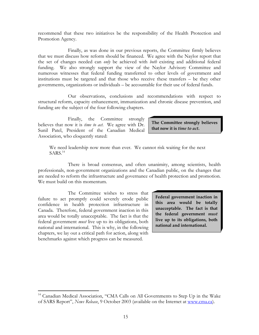recommend that these two initiatives be the responsibility of the Health Protection and Promotion Agency.

 Finally, as was done in our previous reports, the Committee firmly believes that we must discuss how reform should be financed. We agree with the Naylor report that the set of changes needed can *only* be achieved with *both* existing and additional federal funding. We also strongly support the view of the Naylor Advisory Committee and numerous witnesses that federal funding transferred to other levels of government and institutions must be targeted and that those who receive these transfers – be they other governments, organizations or individuals – be accountable for their use of federal funds.

 Our observations, conclusions and recommendations with respect to structural reform, capacity enhancement, immunization and chronic disease prevention, and funding are the subject of the four following chapters.

Finally, the Committee strongly believes that now it is *time to act*. We agree with Dr. Sunil Patel, President of the Canadian Medical Association, who eloquently stated:

**The Committee strongly believes that now it is** *time to act***.** 

We need leadership now more than ever. We cannot risk waiting for the next  $SARS.<sup>14</sup>$ 

 There is broad consensus, and often unanimity, among scientists, health professionals, non-government organizations and the Canadian public, on the changes that are needed to reform the infrastructure and governance of health protection and promotion. We must build on this momentum.

 The Committee wishes to stress that failure to act promptly could severely erode public confidence in health protection infrastructure in Canada. Therefore, federal government inaction in this area would be totally unacceptable. The fact is that the federal government *must* live up to its obligations, both national and international. This is why, in the following chapters, we lay out a critical path for action, along with benchmarks against which progress can be measured.

 $\overline{a}$ 

**Federal government inaction in this area would be totally unacceptable. The fact is that the federal government** *must* **live up to its obligations, both national and international.** 

<sup>&</sup>lt;sup>14</sup> Canadian Medical Association, "CMA Calls on All Governments to Step Up in the Wake of SARS Report", *News Release*, 9 October 2003 (available on the Internet at www.cma.ca).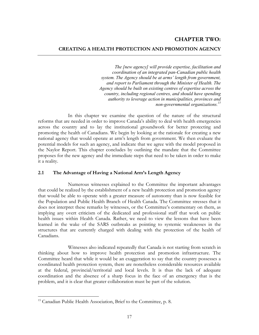## **CHAPTER TWO: CREATING A HEALTH PROTECTION AND PROMOTION AGENCY**

*The [new agency] will provide expertise, facilitation and coordination of an integrated pan-Canadian public health system. The Agency should be at arms' length from government, and report to Parliament through the Minister of Health. The Agency should be built on existing centres of expertise across the country, including regional centres, and should have spending authority to leverage action in municipalities, provinces and non-governmental organizations.15*

 In this chapter we examine the question of the nature of the structural reforms that are needed in order to improve Canada's ability to deal with health emergencies across the country and to lay the institutional groundwork for better protecting and promoting the health of Canadians. We begin by looking at the rationale for creating a new national agency that would operate at arm's length from government. We then evaluate the potential models for such an agency, and indicate that we agree with the model proposed in the Naylor Report. This chapter concludes by outlining the mandate that the Committee proposes for the new agency and the immediate steps that need to be taken in order to make it a reality.

#### **2.1 The Advantage of Having a National Arm's Length Agency**

 Numerous witnesses explained to the Committee the important advantages that could be realized by the establishment of a new health protection and promotion agency that would be able to operate with a greater measure of autonomy than is now feasible for the Population and Public Health Branch of Health Canada. The Committee stresses that it does not interpret these remarks by witnesses, or the Committee's commentary on them, as implying any overt criticism of the dedicated and professional staff that work on public health issues within Health Canada. Rather, we need to view the lessons that have been learned in the wake of the SARS outbreaks as pointing to systemic weaknesses in the structures that are currently charged with dealing with the protection of the health of Canadians.

 Witnesses also indicated repeatedly that Canada is not starting from scratch in thinking about how to improve health protection and promotion infrastructure. The Committee heard that while it would be an exaggeration to say that the country possesses a coordinated health protection system, there are nonetheless considerable resources available at the federal, provincial/territorial and local levels. It is thus the lack of adequate coordination and the absence of a sharp focus in the face of an emergency that is the problem, and it is clear that greater collaboration must be part of the solution.

1

<sup>&</sup>lt;sup>15</sup> Canadian Public Health Association, Brief to the Committee, p. 8.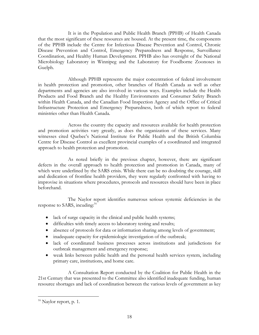It is in the Population and Public Health Branch (PPHB) of Health Canada that the most significant of these resources are housed. At the present time, the components of the PPHB include the Centre for Infectious Disease Prevention and Control, Chronic Disease Prevention and Control, Emergency Preparedness and Response, Surveillance Coordination, and Healthy Human Development. PPHB also has oversight of the National Microbiology Laboratory in Winnipeg and the Laboratory for Foodborne Zoonoses in Guelph.

 Although PPHB represents the major concentration of federal involvement in health protection and promotion, other branches of Health Canada as well as other departments and agencies are also involved in various ways. Examples include the Health Products and Food Branch and the Healthy Environments and Consumer Safety Branch within Health Canada, and the Canadian Food Inspection Agency and the Office of Critical Infrastructure Protection and Emergency Preparedness, both of which report to federal ministries other than Health Canada.

 Across the country the capacity and resources available for health protection and promotion activities vary greatly, as does the organization of these services. Many witnesses cited Quebec's National Institute for Public Health and the British Columbia Centre for Disease Control as excellent provincial examples of a coordinated and integrated approach to health protection and promotion.

 As noted briefly in the previous chapter, however, there are significant defects in the overall approach to health protection and promotion in Canada, many of which were underlined by the SARS crisis. While there can be no doubting the courage, skill and dedication of frontline health providers, they were regularly confronted with having to improvise in situations where procedures, protocols and resources should have been in place beforehand.

 The Naylor report identifies numerous serious systemic deficiencies in the response to SARS, incuding:<sup>16</sup>

- lack of surge capacity in the clinical and public health systems;
- difficulties with timely access to laboratory testing and results;
- absence of protocols for data or information sharing among levels of government;
- inadequate capacity for epidemiologic investigation of the outbreak;
- lack of coordinated business processes across institutions and jurisdictions for outbreak management and emergency response;
- weak links between public health and the personal health services system, including primary care, institutions, and home care.

 A Consultation Report conducted by the Coalition for Public Health in the 21st Century that was presented to the Committee also identified inadequate funding, human resource shortages and lack of coordination between the various levels of government as key

 $16$  Naylor report, p. 1.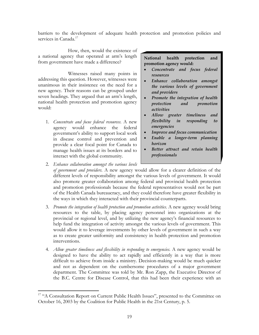barriers to the development of adequate health protection and promotion policies and services in Canada.<sup>17</sup>

 How, then, would the existence of a national agency that operated at arm's length from government have made a difference?

 Witnesses raised many points in addressing this question. However, witnesses were unanimous in their insistence on the need for a new agency. Their reasons can be grouped under seven headings. They argued that an arm's length, national health protection and promotion agency would:

1. *Concentrate and focus federal resources*. A new agency would enhance the federal government's ability to support local work in disease control and prevention and provide a clear focal point for Canada to manage health issues at its borders and to interact with the global community.

 $\overline{a}$ 

**National health protection and promotion agency would:** 

- *Concentrate and focus federal resources*
- *Enhance collaboration amongst the various levels of government and providers*
- *Promote the integration of health protection and promotion activities*
- *Allow greater timeliness and flexibility in responding to emergencies*
- *Improve and focus communication*
- *Enable a longer-term planning horizon*
- *Better attract and retain health professionals*
- 2. *Enhance collaboration amongst the various levels of government and providers*. A new agency would allow for a clearer definition of the different levels of responsibility amongst the various levels of government. It would also promote greater collaboration among federal and provincial health protection and promotion professionals because the federal representatives would not be part of the Health Canada bureaucracy, and they could therefore have greater flexibility in the ways in which they interacted with their provincial counterparts.
- 3. *Promote the integration of health protection and promotion activities*. A new agency would bring resources to the table, by placing agency personnel into organizations at the provincial or regional level, and by utilizing the new agency's financial resources to help fund the integration of activity amongst the various levels of government. This would allow it to leverage investments by other levels of government in such a way as to create greater uniformity and consistency in health protection and promotion interventions.
- 4. *Allow greater timeliness and flexibility in responding to emergencies*. A new agency would be designed to have the ability to act rapidly and efficiently in a way that is more difficult to achieve from inside a ministry. Decision-making would be much quicker and not as dependent on the cumbersome procedures of a major government department. The Committee was told by Mr. Ron Zapp, the Executive Director of the B.C. Centre for Disease Control, that this had been their experience with an

<sup>&</sup>lt;sup>17</sup> "A Consultation Report on Current Public Health Issues", presented to the Committee on October 16, 2003 by the Coalition for Public Health in the 21st Century, p. 5.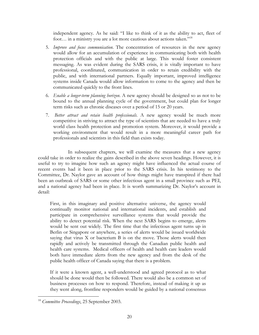independent agency. As he said: "I like to think of it as the ability to act, fleet of foot... in a ministry you are a lot more cautious about actions taken."<sup>18</sup>

- 5. *Improve and focus communication*. The concentration of resources in the new agency would allow for an accumulation of experience in communicating both with health protection officials and with the public at large. This would foster consistent messaging. As was evident during the SARS crisis, it is vitally important to have professional, coordinated, communication in order to retain credibility with the public, and with international partners. Equally important, improved intelligence systems inside Canada would allow information to come to the agency and then be communicated quickly to the front lines.
- 6. *Enable a longer-term planning horizon*. A new agency should be designed so as not to be bound to the annual planning cycle of the government, but could plan for longer term risks such as chronic diseases over a period of 15 or 20 years.
- 7. *Better attract and retain health professionals*. A new agency would be much more competitive in striving to attract the type of scientists that are needed to have a truly world class health protection and promotion system. Moreover, it would provide a working environment that would result in a more meaningful career path for professionals and scientists in this field than exists today.

 In subsequent chapters, we will examine the measures that a new agency could take in order to realize the gains described in the above seven headings. However, it is useful to try to imagine how such an agency might have influenced the actual course of recent events had it been in place prior to the SARS crisis. In his testimony to the Committee, Dr. Naylor gave an account of how things might have transpired if there had been an outbreak of SARS or some other infectious agent in a small province such as PEI, and a national agency had been in place. It is worth summarizing Dr. Naylor's account in detail:

First, in this imaginary and positive alternative universe, the agency would continually monitor national and international incidents, and establish and participate in comprehensive surveillance systems that would provide the ability to detect potential risk. When the next SARS begins to emerge, alerts would be sent out widely. The first time that the infectious agent turns up in Berlin or Singapore or anywhere, a series of alerts would be issued worldwide saying that virus X or bacterium B is on the move. Those alerts would then rapidly and actively be transmitted through the Canadian public health and health care systems. Medical officers of health and health care leaders would both have immediate alerts from the new agency and from the desk of the public health officer of Canada saying that there is a problem.

If it were a known agent, a well-understood and agreed protocol as to what should be done would then be followed. There would also be a common set of business processes on how to respond. Therefore, instead of making it up as they went along, frontline responders would be guided by a national consensus

<sup>18</sup> *Committee Proceedings*, 25 September 2003.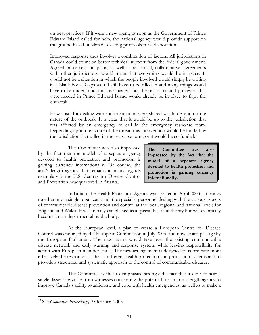on best practices. If it were a new agent, as soon as the Government of Prince Edward Island called for help, the national agency would provide support on the ground based on already-existing protocols for collaboration.

Improved response thus involves a combination of factors. All jurisdictions in Canada could count on better technical support from the federal government. Agreed processes and plans, as well as reciprocal, collaborative, agreements with other jurisdictions, would mean that everything would be in place. It would not be a situation in which the people involved would simply be writing in a blank book. Gaps would still have to be filled in and many things would have to be understood and investigated, but the protocols and processes that were needed in Prince Edward Island would already be in place to fight the outbreak.

How costs for dealing with such a situation were shared would depend on the nature of the outbreak. It is clear that it would be up to the jurisdiction that was affected by an emergency to call in the emergency response team. Depending upon the nature of the threat, this intervention would be funded by the jurisdiction that called in the response team, or it would be co-funded.<sup>19</sup>

 The Committee was also impressed by the fact that the model of a separate agency devoted to health protection and promotion is gaining currency internationally. Of course, the arm's length agency that remains in many regards exemplary is the U.S. Centres for Disease Control and Prevention headquartered in Atlanta.

**The Committee was also impressed by the fact that the model of a separate agency devoted to health protection and promotion is gaining currency internationally.** 

 In Britain, the Health Protection Agency was created in April 2003. It brings together into a single organization all the specialist personnel dealing with the various aspects of communicable disease prevention and control at the local, regional and national levels for England and Wales. It was initially established as a special health authority but will eventually become a non-departmental public body.

 At the European level, a plan to create a European Centre for Disease Control was endorsed by the European Commission in July 2003, and now awaits passage by the European Parliament. The new centre would take over the existing communicable disease network and early warning and response system, while leaving responsibility for action with European member states. The new arrangement is designed to coordinate more effectively the responses of the 15 different health protection and promotion systems and to provide a structured and systematic approach to the control of communicable diseases.

 The Committee wishes to emphasize strongly the fact that it did not hear a single dissenting voice from witnesses concerning the potential for an arm's length agency to improve Canada's ability to anticipate and cope with health emergencies, as well as to make a

1

<sup>19</sup> See *Committee Proceedings,* 9 October 2003.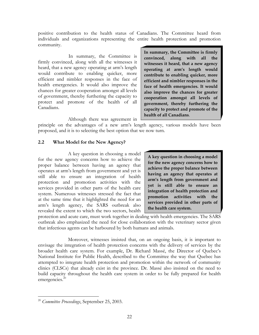positive contribution to the health status of Canadians. The Committee heard from individuals and organizations representing the entire health protection and promotion community.

In summary, the Committee is firmly convinced, along with all the witnesses it heard, that a new agency operating at arm's length would contribute to enabling quicker, more efficient and nimbler responses in the face of health emergencies. It would also improve the chances for greater cooperation amongst all levels of government, thereby furthering the capacity to protect and promote of the health of all Canadians.

**In summary, the Committee is firmly convinced, along with all the witnesses it heard, that a new agency operating at arm's length would contribute to enabling quicker, more efficient and nimbler responses in the face of health emergencies. It would also improve the chances for greater cooperation amongst all levels of government, thereby furthering the capacity to protect and promote of the health of all Canadians**.

Although there was agreement in

principle on the advantages of a new arm's length agency, various models have been proposed, and it is to selecting the best option that we now turn.

#### **2.2 What Model for the New Agency?**

 A key question in choosing a model for the new agency concerns how to achieve the proper balance between having an agency that operates at arm's length from government and yet is still able to ensure an integration of health protection and promotion activities with the services provided in other parts of the health care system. Numerous witnesses stressed the fact that at the same time that it highlighted the need for an arm's length agency, the SARS outbreak also revealed the extent to which the two sectors, health

**A key question in choosing a model for the new agency concerns how to achieve the proper balance between having an agency that operates at arm's length from government and yet is still able to ensure an integration of health protection and promotion activities with the services provided in other parts of the health care system.** 

protection and acute care, must work together in dealing with health emergencies. The SARS outbreak also emphasized the need for close collaboration with the veterinary sector given that infectious agents can be harboured by both humans and animals.

 Moreover, witnesses insisted that, on an ongoing basis, it is important to envisage the integration of health protection concerns with the delivery of services by the broader health care system. For example, Dr. Richard Massé, the Director of Quebec's National Institute for Public Health, described to the Committee the way that Quebec has attempted to integrate health protection and promotion within the network of community clinics (CLSCs) that already exist in the province. Dr. Massé also insisted on the need to build capacity throughout the health care system in order to be fully prepared for health emergencies.<sup>20</sup>

<sup>20</sup> *Committee Proceedings*, September 25, 2003.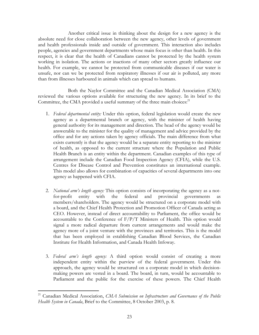Another critical issue in thinking about the design for a new agency is the absolute need for close collaboration between the new agency, other levels of government and health professionals inside and outside of government. This interaction also includes people, agencies and government departments whose main focus is other than health. In this respect, it is clear that the health of Canadians cannot be protected by the health system working in isolation. The actions or inactions of many other sectors greatly influence our health. For example, we cannot be protected from communicable diseases if our water is unsafe, nor can we be protected from respiratory illnesses if our air is polluted, any more than from illnesses harboured in animals which can spread to humans.

 Both the Naylor Committee and the Canadian Medical Association (CMA) reviewed the various options available for structuring the new agency. In its brief to the Committee, the CMA provided a useful summary of the three main choices:<sup>21</sup>

- 1. *Federal departmental entity:* Under this option, federal legislation would create the new agency as a departmental branch or agency, with the minister of health having general authority for its management and direction. The head of the agency would be answerable to the minister for the quality of management and advice provided by the office and for any actions taken by agency officials. The main difference from what exists currently is that the agency would be a separate entity reporting to the minister of health, as opposed to the current structure where the Population and Public Health Branch is an entity within the department. Canadian examples of this type of arrangement include the Canadian Food Inspection Agency (CFIA), while the U.S. Centres for Disease Control and Prevention constitutes an international example. This model also allows for combination of capacities of several departments into one agency as happened with CFIA.
- 2. *National arm's length agency:* This option consists of incorporating the agency as a notfor-profit entity with the federal and provincial governments as members/shareholders. The agency would be structured on a corporate model with a board, and the Chief Health Protection and Promotion Officer of Canada acting as CEO. However, instead of direct accountability to Parliament, the office would be accountable to the Conference of  $F/P/T$  Ministers of Health. This option would signal a more radical departure from current arrangements and would make the agency more of a joint venture with the provinces and territories. This is the model that has been employed in establishing Canadian Blood Services, the Canadian Institute for Health Information, and Canada Health Infoway.
- 3. *Federal arm's length agency:* A third option would consist of creating a more independent entity within the purview of the federal government. Under this approach, the agency would be structured on a corporate model in which decisionmaking powers are vested in a board. The board, in turn, would be accountable to Parliament and the public for the exercise of these powers. The Chief Health

<sup>21</sup> Canadian Medical Association, *CMA Submission on Infrastructure and Governance of the Public Health System in Canada*, Brief to the Committee, 8 October 2003, p. 8.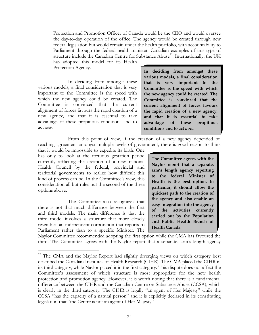Protection and Promotion Officer of Canada would be the CEO and would oversee the day-to-day operation of the office. The agency would be created through new federal legislation but would remain under the health portfolio, with accountability to Parliament through the federal health minister. Canadian examples of this type of structure include the Canadian Centre for Substance Abuse<sup>22</sup>. Internationally, the UK has adopted this model for its Health

Protection Agency.

 In deciding from amongst these various models, a final consideration that is very important to the Committee is the speed with which the new agency could be created. The Committee is convinced that the current alignment of forces favours the rapid creation of a new agency, and that it is essential to take advantage of these propitious conditions and to act *now*.

**In deciding from amongst these various models, a final consideration that is very important to the Committee is the speed with which the new agency could be created. The Committee is convinced that the current alignment of forces favours the rapid creation of a new agency, and that it is essential to take advantage of these propitious conditions and to act** *now***.** 

 From this point of view, if the creation of a new agency depended on reaching agreement amongst multiple levels of government, there is good reason to think

that it would be impossible to expedite its birth. One has only to look at the tortuous gestation period currently afflicting the creation of a new national Health Council by the federal, provincial and territorial governments to realize how difficult this kind of process can be. In the Committee's view, this consideration all but rules out the second of the three options above.

 The Committee also recognizes that there is not that much difference between the first and third models. The main difference is that the third model involves a structure that more closely resembles an independent corporation that reports to Parliament rather than to a specific Minister. The

 $\overline{a}$ 

**The Committee agrees with the Naylor report that a separate, arm's length agency reporting to the federal Minister of Health is the best option. In particular, it should allow the quickest path to the creation of the agency and also enable an easy integration into the agency of the activities currently carried out by the Population and Public Health Branch of Health Canada.** 

Naylor Committee recommended adopting the first option while the CMA has favoured the third. The Committee agrees with the Naylor report that a separate, arm's length agency

<sup>&</sup>lt;sup>22</sup> The CMA and the Naylor Report had slightly diverging views on which category best described the Canadian Institutes of Health Research (CIHR). The CMA placed the CIHR in its third category, while Naylor placed it in the first category. This dispute does not affect the Committee's assessment of which structure is most appropriate for the new health protection and promotion agency. However, it is worth noting that there is a fundamental difference between the CIHR and the Canadian Centre on Substance Abuse (CCSA), which is clearly in the third category. The CIHR is legally "an agent of Her Majesty" while the CCSA "has the capacity of a natural person" and it is explicitly declared in its constituting legislation that "the Centre is not an agent of Her Majesty".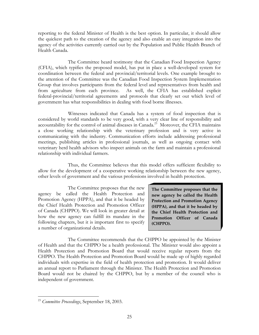reporting to the federal Minister of Health is the best option. In particular, it should allow the quickest path to the creation of the agency and also enable an easy integration into the agency of the activities currently carried out by the Population and Public Health Branch of Health Canada.

 The Committee heard testimony that the Canadian Food Inspection Agency (CFIA), which typifies the proposed model, has put in place a well-developed system for coordination between the federal and provincial/territorial levels. One example brought to the attention of the Committee was the Canadian Food Inspection System Implementation Group that involves participants from the federal level and representatives from health and from agriculture from each province. As well, the CFIA has established explicit federal-provincial/territorial agreements and protocols that clearly set out which level of government has what responsibilities in dealing with food borne illnesses.

 Witnesses indicated that Canada has a system of food inspection that is considered by world standards to be very good, with a very clear line of responsibility and accountability for the control of animal diseases in Canada.<sup>23</sup> Moreover, the CFIA maintains a close working relationship with the veterinary profession and is very active in communicating with the industry. Communication efforts include addressing professional meetings, publishing articles in professional journals, as well as ongoing contact with veterinary herd health advisors who inspect animals on the farm and maintain a professional relationship with individual farmers.

 Thus, the Committee believes that this model offers sufficient flexibility to allow for the development of a cooperative working relationship between the new agency, other levels of government and the various professions involved in health protection.

 The Committee proposes that the new agency be called the Health Protection and Promotion Agency (HPPA), and that it be headed by the Chief Health Protection and Promotion Officer of Canada (CHPPO). We will look in greater detail at how the new agency can fulfill its mandate in the following chapters, but it is important first to specify a number of organizational details.

**The Committee proposes that the new agency be called the Health Protection and Promotion Agency (HPPA), and that it be headed by the Chief Health Protection and Promotion Officer of Canada (CHPPO).**

 The Committee recommends that the CHPPO be appointed by the Minister of Health and that the CHPPO be a health professional. The Minister would also appoint a Health Protection and Promotion Board that would receive regular reports from the CHPPO. The Health Protection and Promotion Board would be made up of highly regarded individuals with expertise in the field of health protection and promotion. It would deliver an annual report to Parliament through the Minister. The Health Protection and Promotion Board would not be chaired by the CHPPO, but by a member of the council who is independent of government.

<sup>23</sup> *Committee Proceedings*, September 18, 2003.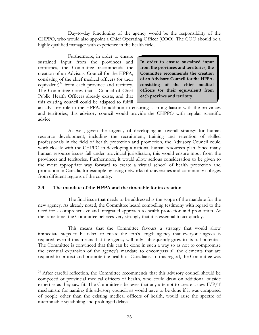Day-to-day functioning of the agency would be the responsibility of the CHPPO, who would also appoint a Chief Operating Officer (COO). The COO should be a highly qualified manager with experience in the health field.

 Furthermore, in order to ensure sustained input from the provinces and territories, the Committee recommends the creation of an Advisory Council for the HPPA, consisting of the chief medical officers (or their equivalent) $^{24}$  from each province and territory. The Committee notes that a Council of Chief Public Health Officers already exists, and that this existing council could be adapted to fulfill

 $\overline{a}$ 

**In order to ensure sustained input from the provinces and territories, the Committee recommends the creation of an Advisory Council for the HPPA, consisting of the chief medical officers (or their equivalent) from each province and territory.** 

an advisory role to the HPPA. In addition to ensuring a strong liaison with the provinces and territories, this advisory council would provide the CHPPO with regular scientific advice.

 As well, given the urgency of developing an overall strategy for human resource development, including the recruitment, training and retention of skilled professionals in the field of health protection and promotion, the Advisory Council could work closely with the CHPPO in developing a national human resources plan. Since many human resource issues fall under provincial jurisdiction, this would ensure input from the provinces and territories. Furthermore, it would allow serious consideration to be given to the most appropriate way forward to create a virtual school of health protection and promotion in Canada, for example by using networks of universities and community colleges from different regions of the country.

#### **2.3 The mandate of the HPPA and the timetable for its creation**

 The final issue that needs to be addressed is the scope of the mandate for the new agency. As already noted, the Committee heard compelling testimony with regard to the need for a comprehensive and integrated approach to health protection and promotion. At the same time, the Committee believes very strongly that it is essential to act quickly.

 This means that the Committee favours a strategy that would allow immediate steps to be taken to create the arm's length agency that everyone agrees is required, even if this means that the agency will only subsequently grow to its full potential. The Committee is convinced that this can be done in such a way so as not to compromise the eventual expansion of the agency's mandate to encompass all the elements that are required to protect and promote the health of Canadians. In this regard, the Committee was

<sup>&</sup>lt;sup>24</sup> After careful reflection, the Committee recommends that this advisory council should be composed of provincial medical officers of health, who could draw on additional outside expertise as they saw fit. The Committee's believes that any attempt to create a new  $F/P/T$ mechanism for naming this advisory council, as would have to be done if it was composed of people other than the existing medical officers of health, would raise the spectre of interminable squabbling and prolonged delays.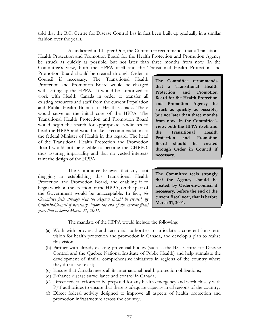told that the B.C. Centre for Disease Control has in fact been built up gradually in a similar fashion over the years.

 As indicated in Chapter One, the Committee recommends that a Transitional Health Protection and Promotion Board for the Health Protection and Promotion Agency be struck as quickly as possible, but not later than three months from now. In the Committee's view, both the HPPA itself and the Transitional Health Protection and

Promotion Board should be created through Order in Council if necessary. The Transitional Health Protection and Promotion Board would be charged with setting up the HPPA. It would be authorized to work with Health Canada in order to transfer all existing resources and staff from the current Population and Public Health Branch of Health Canada. These would serve as the initial core of the HPPA. The Transitional Health Protection and Promotion Board would begin the search for appropriate candidates to head the HPPA and would make a recommendation to the federal Minister of Health in this regard. The head of the Transitional Health Protection and Promotion Board would not be eligible to become the CHPPO, thus assuring impartiality and that no vested interests taint the design of the HPPA.

 The Committee believes that any foot dragging in establishing this Transitional Health Protection and Promotion Board, and enabling it to begin work on the creation of the HPPA, on the part of the Government would be unacceptable. In fact, *the Committee feels strongly that the Agency should be created, by Order-in-Council if necessary, before the end of the current fiscal year, that is before March 31, 2004*.

**The Committee recommends that a Transitional Health Protection and Promotion Board for the Health Protection and Promotion Agency be struck as quickly as possible, but not later than three months from now. In the Committee's view, both the HPPA itself and the Transitional Health Protection and Promotion Board should be created through Order in Council if necessary.** 

**The Committee feels strongly that the Agency should be created, by Order-in-Council if necessary, before the end of the current fiscal year, that is before March 31, 2004.** 

The mandate of the HPPA would include the following:

- (a) Work with provincial and territorial authorities to articulate a coherent long-term vision for health protection and promotion in Canada, and develop a plan to realize this vision;
- (b) Partner with already existing provincial bodies (such as the B.C. Centre for Disease Control and the Quebec National Institute of Public Health) and help stimulate the development of similar comprehensive initiatives in regions of the country where they do not yet exist;
- (c) Ensure that Canada meets all its international health protection obligations;
- (d) Enhance disease surveillance and control in Canada;
- (e) Direct federal efforts to be prepared for any health emergency and work closely with  $P/T$  authorities to ensure that there is adequate capacity in all regions of the country;
- (f) Direct federal activity designed to improve all aspects of health protection and promotion infrastructure across the country;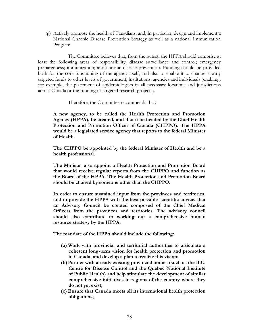(g) Actively promote the health of Canadians, and, in particular, design and implement a National Chronic Disease Prevention Strategy as well as a national Immunization Program.

 The Committee believes that, from the outset, the HPPA should comprise at least the following areas of responsibility: disease surveillance and control; emergency preparedness; immunization; and chronic disease prevention. Funding should be provided both for the core functioning of the agency itself, and also to enable it to channel clearly targeted funds to other levels of government, institutions, agencies and individuals (enabling, for example, the placement of epidemiologists in all necessary locations and jurisdictions across Canada or the funding of targeted research projects).

Therefore, the Committee recommends that:

**A new agency, to be called the Health Protection and Promotion Agency (HPPA), be created, and that it be headed by the Chief Health Protection and Promotion Officer of Canada (CHPPO). The HPPA would be a legislated service agency that reports to the federal Minister of Health.** 

**The CHPPO be appointed by the federal Minister of Health and be a health professional.** 

**The Minister also appoint a Health Protection and Promotion Board that would receive regular reports from the CHPPO and function as the Board of the HPPA. The Health Protection and Promotion Board should be chaired by someone other than the CHPPO.** 

**In order to ensure sustained input from the provinces and territories, and to provide the HPPA with the best possible scientific advice, that an Advisory Council be created composed of the Chief Medical Officers from the provinces and territories. The advisory council should also contribute to working out a comprehensive human resource strategy by the HPPA.** 

**The mandate of the HPPA should include the following:** 

- **(a) Work with provincial and territorial authorities to articulate a coherent long-term vision for health protection and promotion in Canada, and develop a plan to realize this vision;**
- **(b) Partner with already existing provincial bodies (such as the B.C. Centre for Disease Control and the Quebec National Institute of Public Health) and help stimulate the development of similar comprehensive initiatives in regions of the country where they do not yet exist;**
- **(c) Ensure that Canada meets all its international health protection obligations;**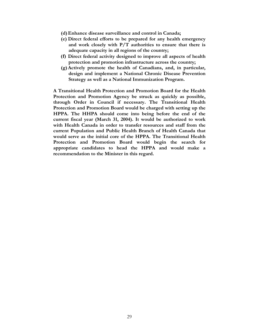- **(d) Enhance disease surveillance and control in Canada;**
- **(e) Direct federal efforts to be prepared for any health emergency and work closely with P/T authorities to ensure that there is adequate capacity in all regions of the country;**
- **(f) Direct federal activity designed to improve all aspects of health protection and promotion infrastructure across the country;**
- **(g) Actively promote the health of Canadians, and, in particular, design and implement a National Chronic Disease Prevention Strategy as well as a National Immunization Program.**

**A Transitional Health Protection and Promotion Board for the Health Protection and Promotion Agency be struck as quickly as possible, through Order in Council if necessary. The Transitional Health Protection and Promotion Board would be charged with setting up the HPPA. The HHPA should come into being before the end of the current fiscal year (March 31, 2004). It would be authorized to work with Health Canada in order to transfer resources and staff from the current Population and Public Health Branch of Health Canada that would serve as the initial core of the HPPA. The Transitional Health Protection and Promotion Board would begin the search for appropriate candidates to head the HPPA and would make a recommendation to the Minister in this regard.**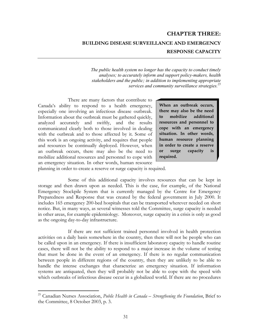# **CHAPTER THREE: BUILDING DISEASE SURVEILLANCE AND EMERGENCY RESPONSE CAPACITY**

*The public health system no longer has the capacity to conduct timely analyses; to accurately inform and support policy-makers, health stakeholders and the public; in addition to implementing appropriate services and community surveillance strategies.<sup>25</sup>*

 There are many factors that contribute to Canada's ability to respond to a health emergency, especially one involving an infectious disease outbreak. Information about the outbreak must be gathered quickly, analyzed accurately and swiftly, and the results communicated clearly both to those involved in dealing with the outbreak and to those affected by it. Some of this work is an ongoing activity, and requires that people and resources be continually deployed. However, when an outbreak occurs, there may also be the need to mobilize additional resources and personnel to cope with an emergency situation. In other words, human resource

**When an outbreak occurs, there may also be the need to mobilize additional resources and personnel to cope with an emergency situation. In other words, human resource planning in order to create a reserve or surge capacity is required.**

planning in order to create a reserve or surge capacity is required.

 $\overline{a}$ 

 Some of this additional capacity involves resources that can be kept in storage and then drawn upon as needed. This is the case, for example, of the National Emergency Stockpile System that is currently managed by the Centre for Emergency Preparedness and Response that was created by the federal government in July 2000. It includes 165 emergency 200-bed hospitals that can be transported wherever needed on short notice. But, in many ways, as several witnesses told the Committee, surge capacity is needed in other areas, for example epidemiology. Moreover, surge capacity in a crisis is only as good as the ongoing day-to-day infrastructure.

 If there are not sufficient trained personnel involved in health protection activities on a daily basis somewhere in the country, then there will not be people who can be called upon in an emergency. If there is insufficient laboratory capacity to handle routine cases, there will not be the ability to respond to a major increase in the volume of testing that must be done in the event of an emergency. If there is no regular communication between people in different regions of the country, then they are unlikely to be able to handle the intense exchanges that characterize an emergency situation. If information systems are antiquated, then they will probably not be able to cope with the speed with which outbreaks of infectious disease occur in a globalized world. If there are no procedures

<sup>25</sup> Canadian Nurses Association, *Public Health in Canada – Strengthening the Foundation*, Brief to the Committee, 8 October 2003, p. 3.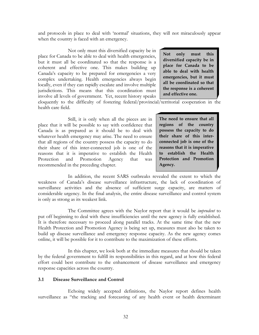and protocols in place to deal with 'normal' situations, they will not miraculously appear when the country is faced with an emergency.

 Not only must this diversified capacity be in place for Canada to be able to deal with health emergencies, but it must all be coordinated so that the response is a coherent and effective one. This makes building up Canada's capacity to be prepared for emergencies a very complex undertaking. Health emergencies always begin locally, even if they can rapidly escalate and involve multiple jurisdictions. This means that this coordination must involve all levels of government. Yet, recent history speaks

**Not only must this diversified capacity be in place for Canada to be able to deal with health emergencies, but it must all be coordinated so that the response is a coherent and effective one.** 

eloquently to the difficulty of fostering federal/provincial/territorial cooperation in the health care field.

 Still, it is only when all the pieces are in place that it will be possible to say with confidence that Canada is as prepared as it should be to deal with whatever health emergency may arise. The need to ensure that all regions of the country possess the capacity to do their share of this inter-connected job is one of the reasons that it is imperative to establish the Health Protection and Promotion Agency that was recommended in the preceding chapter.

**The need to ensure that all regions of the country possess the capacity to do their share of this interconnected job is one of the reasons that it is imperative to establish the Health Protection and Promotion Agency.** 

 In addition, the recent SARS outbreaks revealed the extent to which the weakness of Canada's disease surveillance infrastructure, the lack of coordination of surveillance activities and the absence of sufficient surge capacity, are matters of considerable urgency. In the final analysis, the entire disease surveillance and control system is only as strong as its weakest link.

 The Committee agrees with the Naylor report that it would be *imprudent* to put off beginning to deal with these insufficiencies until the new agency is fully established. It is therefore necessary to proceed along parallel tracks. At the same time that the new Health Protection and Promotion Agency is being set up, measures must also be taken to build up disease surveillance and emergency response capacity. As the new agency comes online, it will be possible for it to contribute to the maximization of these efforts.

 In this chapter, we look both at the immediate measures that should be taken by the federal government to fulfill its responsibilities in this regard, and at how this federal effort could best contribute to the enhancement of disease surveillance and emergency response capacities across the country.

#### **3.1 Disease Surveillance and Control**

 Echoing widely accepted definitions, the Naylor report defines health surveillance as "the tracking and forecasting of any health event or health determinant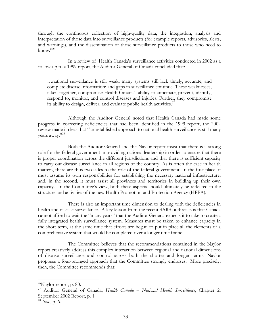through the continuous collection of high-quality data, the integration, analysis and interpretation of those data into surveillance products (for example reports, advisories, alerts, and warnings), and the dissemination of those surveillance products to those who need to  $k$ now." $^{26}$ 

 In a review of Health Canada's surveillance activities conducted in 2002 as a follow-up to a 1999 report, the Auditor General of Canada concluded that:

…national surveillance is still weak; many systems still lack timely, accurate, and complete disease information; and gaps in surveillance continue. These weaknesses, taken together, compromise Health Canada's ability to anticipate, prevent, identify, respond to, monitor, and control diseases and injuries. Further, they compromise its ability to design, deliver, and evaluate public health activities.<sup>27</sup>

 Although the Auditor General noted that Health Canada had made some progress in correcting deficiencies that had been identified in the 1999 report, the 2002 review made it clear that "an established approach to national health surveillance is still many years away."28

 Both the Auditor General and the Naylor report insist that there is a strong role for the federal government in providing national leadership in order to ensure that there is proper coordination across the different jurisdictions and that there is sufficient capacity to carry out disease surveillance in all regions of the country. As is often the case in health matters, there are thus two sides to the role of the federal government. In the first place, it must assume its own responsibilities for establishing the necessary national infrastructure, and, in the second, it must assist all provinces and territories in building up their own capacity. In the Committee's view, both these aspects should ultimately be reflected in the structure and activities of the new Health Promotion and Protection Agency (HPPA).

 There is also an important time dimension to dealing with the deficiencies in health and disease surveillance. A key lesson from the recent SARS outbreaks is that Canada cannot afford to wait the "many years" that the Auditor General expects it to take to create a fully integrated health surveillance system. Measures must be taken to enhance capacity in the short term, at the same time that efforts are begun to put in place all the elements of a comprehensive system that would be completed over a longer time frame.

 The Committee believes that the recommendations contained in the Naylor report creatively address this complex interaction between regional and national dimensions of disease surveillance and control across both the shorter and longer terms. Naylor proposes a four-pronged approach that the Committee strongly endorses. More precisely, then, the Committee recommends that:

 $^{26}$ Naylor report, p. 80.

<sup>27</sup> Auditor General of Canada, *Health Canada – National Health Surveillance*, Chapter 2, September 2002 Report, p. 1.

<sup>28</sup> *Ibid*., p. 6.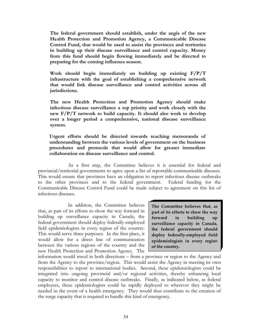**The federal government should establish, under the aegis of the new Health Protection and Promotion Agency, a Communicable Disease Control Fund, that would be used to assist the provinces and territories in building up their disease surveillance and control capacity. Money from this fund should begin flowing immediately and be directed to preparing for the coming influenza season.** 

**Work should begin immediately on building up existing F/P/T infrastructure with the goal of establishing a comprehensive network that would link disease surveillance and control activities across all jurisdictions.** 

**The new Health Protection and Promotion Agency should make infectious disease surveillance a top priority and work closely with the new F/P/T network to build capacity. It should also work to develop over a longer period a comprehensive, national disease surveillance system.** 

**Urgent efforts should be directed towards reaching memoranda of understanding between the various levels of government on the business procedures and protocols that would allow for greater immediate collaboration on disease surveillance and control.** 

 As a first step, the Committee believes it is essential for federal and provincial/territorial governments to agree upon a list of reportable communicable diseases. This would ensure that provinces have an obligation to report infectious disease outbreaks to the other provinces and to the federal government. Federal funding for the Communicable Disease Control Fund could be made subject to agreement on this list of infectious diseases.

 In addition, the Committee believes that, as part of its efforts to show the way forward in building up surveillance capacity in Canada, the federal government should deploy federally-employed field epidemiologists in every region of the country. This would serve three purposes. In the first place, it would allow for a direct line of communication between the various regions of the country and the new Health Protection and Promotion Agency. The

**The Committee believes that, as part of its efforts to show the way forward in building up surveillance capacity in Canada, the federal government should deploy federally-employed field epidemiologists in every regio**n **of the country.**

information would travel in both directions – from a province or region to the Agency and from the Agency to the province/region. This would assist the Agency in meeting its own responsibilities to report to international bodies. Second, these epidemiologists could be integrated into ongoing provincial and/or regional activities, thereby enhancing local capacity to monitor and control disease outbreaks. Finally, as indicated below, as federal employees, these epidemiologists could be rapidly deployed to wherever they might be needed in the event of a health emergency. They would thus contribute to the creation of the surge capacity that is required to handle this kind of emergency.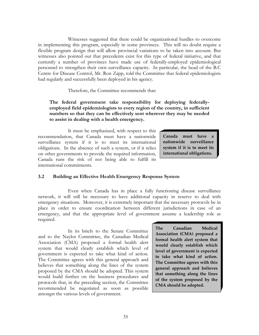Witnesses suggested that there could be organizational hurdles to overcome in implementing this program, especially in some provinces. This will no doubt require a flexible program design that will allow provincial variations to be taken into account. But witnesses also pointed out that precedents exist for this type of federal initiative, and that currently a number of provinces have made use of federally-employed epidemiological personnel to strengthen their own surveillance capacity. In particular, the head of the B.C Centre for Disease Control, Mr. Ron Zapp, told the Committee that federal epidemiologists had regularly and successfully been deployed in his agency.

Therefore, the Committee recommends that:

## **The federal government take responsibility for deploying federallyemployed field epidemiologists to every region of the country, in sufficient numbers so that they can be effectively sent wherever they may be needed to assist in dealing with a health emergency.**

 It must be emphasized, with respect to this recommendation, that Canada must have a nationwide surveillance system if it is to meet its international obligations. In the absence of such a system, or if it relies on other governments to provide the required information, Canada runs the risk of not being able to fulfill its international commitments.

**Canada must have a nationwide surveillance system if it is to meet its international obligations.**

## **3.2 Building an Effective Health Emergency Response System**

 Even when Canada has in place a fully functioning disease surveillance network, it will still be necessary to have additional capacity in reserve to deal with emergency situations. Moreover, it is extremely important that the necessary protocols be in place in order to ensure coordination between different jurisdictions in case of an emergency, and that the appropriate level of government assume a leadership role as required.

 In its briefs to the Senate Committee and to the Naylor Committee, the Canadian Medical Association (CMA) proposed a formal health alert system that would clearly establish which level of government is expected to take what kind of action. The Committee agrees with this general approach and believes that something along the lines of the system proposed by the CMA should be adopted. This system would build further on the business procedures and protocols that, in the preceding section, the Committee recommended be negotiated as soon as possible amongst the various levels of government.

**The Canadian Medical Association (CMA) proposed a formal health alert system that would clearly establish which level of government is expected to take what kind of action. The Committee agrees with this general approach and believes that something along the lines of the system proposed by the CMA should be adopted.**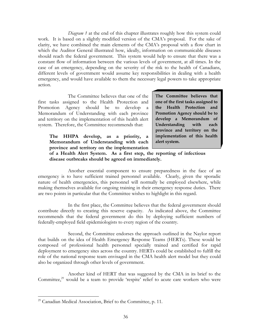*Diagram 1* at the end of this chapter illustrates roughly how this system could work. It is based on a slightly modified version of the CMA's proposal. For the sake of clarity, we have combined the main elements of the CMA's proposal with a flow chart in which the Auditor General illustrated how, ideally, information on communicable diseases should reach the federal government. This system would help to ensure that there was a constant flow of information between the various levels of government, at all times. In the case of an emergency, depending on the severity of the risk to the health of Canadians, different levels of government would assume key responsibilities in dealing with a health emergency, and would have available to them the necessary legal powers to take appropriate action.

 The Committee believes that one of the first tasks assigned to the Health Protection and Promotion Agency should be to develop a Memorandum of Understanding with each province and territory on the implementation of this health alert system. Therefore, the Committee recommends that:

**The HHPA develop, as a priority, a Memorandum of Understanding with each province and territory on the implementation**  **The Committee believes that one of the first tasks assigned to the Health Protection and Promotion Agency should be to develop a Memorandum of Understanding with each province and territory on the implementation of this health alert system.** 

**of a Health Alert System. As a first step, the reporting of infectious disease outbreaks should be agreed on immediately.** 

 Another essential component to ensure preparedness in the face of an emergency is to have sufficient trained personnel available. Clearly, given the sporadic nature of health emergencies, this personnel will normally be employed elsewhere, while making themselves available for ongoing training in their emergency response duties. There are two points in particular that the Committee wishes to highlight in this regard.

 In the first place, the Committee believes that the federal government should contribute directly to creating this reserve capacity. As indicated above, the Committee recommends that the federal government do this by deploying sufficient numbers of federally-employed field epidemiologists to every region of the country.

 Second, the Committee endorses the approach outlined in the Naylor report that builds on the idea of Health Emergency Response Teams (HERTs). These would be composed of professional health personnel specially trained and certified for rapid deployment to emergency sites across the country. HERTs could be established to fulfill the role of the national response team envisaged in the CMA health alert model but they could also be organized through other levels of government.

 Another kind of HERT that was suggested by the CMA in its brief to the Committee,<sup>29</sup> would be a team to provide 'respite' relief to acute care workers who were

<sup>&</sup>lt;sup>29</sup> Canadian Medical Association, Brief to the Committee, p. 11.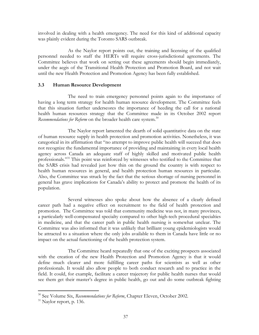involved in dealing with a health emergency. The need for this kind of additional capacity was plainly evident during the Toronto SARS outbreak.

 As the Naylor report points out, the training and licensing of the qualified personnel needed to staff the HERTs will require cross-jurisdictional agreements. The Committee believes that work on setting out these agreements should begin immediately, under the aegis of the Transitional Health Protection and Promotion Board, and not wait until the new Health Protection and Promotion Agency has been fully established.

## **3.3 Human Resource Development**

 The need to train emergency personnel points again to the importance of having a long term strategy for health human resource development. The Committee feels that this situation further underscores the importance of heeding the call for a national health human resources strategy that the Committee made in its October 2002 report *Recommendations for Reform* on the broader health care system.<sup>30</sup>

 The Naylor report lamented the dearth of solid quantitative data on the state of human resource supply in health protection and promotion activities. Nonetheless, it was categorical in its affirmation that "no attempt to improve public health will succeed that does not recognize the fundamental importance of providing and maintaining in every local health agency across Canada an adequate staff of highly skilled and motivated public health professionals."<sup>31</sup> This point was reinforced by witnesses who testified to the Committee that the SARS crisis had revealed just how thin on the ground the country is with respect to health human resources in general, and health protection human resources in particular. Also, the Committee was struck by the fact that the serious shortage of nursing personnel in general has grave implications for Canada's ability to protect and promote the health of its population.

 Several witnesses also spoke about how the absence of a clearly defined career path had a negative effect on recruitment to the field of health protection and promotion. The Committee was told that community medicine was not, in many provinces, a particularly well-compensated specialty compared to other high-tech procedural specialties in medicine, and that the career path in public health nursing is somewhat unclear. The Committee was also informed that it was unlikely that brilliant young epidemiologists would be attracted to a situation where the only jobs available to them in Canada have little or no impact on the actual functioning of the health protection system.

 The Committee heard repeatedly that one of the exciting prospects associated with the creation of the new Health Protection and Promotion Agency is that it would define much clearer and more fulfilling career paths for scientists as well as other professionals. It would also allow people to both conduct research and to practice in the field. It could, for example, facilitate a career trajectory for public health nurses that would see them get their master's degree in public health, go out and do some outbreak fighting

<sup>30</sup> See Volume Six, *Recommendations for Reform*, Chapter Eleven, October 2002.

<sup>&</sup>lt;sup>31</sup> Naylor report, p. 136.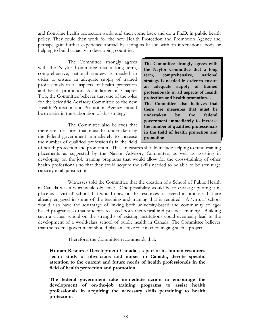and front-line health protection work, and then come back and do a Ph.D. in public health policy. They could then work for the new Health Protection and Promotion Agency and perhaps gain further experience abroad by acting as liaison with an international body or helping to build capacity in developing countries.

The Committee strongly agrees with the Naylor Committee that a long term, comprehensive, national strategy is needed in order to ensure an adequate supply of trained professionals in all aspects of health protection and health promotion. As indicated in Chapter Two, the Committee believes that one of the roles for the Scientific Advisory Committee to the new Health Protection and Promotion Agency should be to assist in the elaboration of this strategy.

 The Committee also believes that there are measures that must be undertaken by the federal government immediately to increase the number of qualified professionals in the field **The Committee strongly agrees with the Naylor Committee that a long term, comprehensive, national strategy is needed in order to ensure an adequate supply of trained professionals in all aspects of health protection and health promotion… The Committee also believes that there are measures that must be undertaken by the federal government immediately to increase the number of qualified professionals in the field of health protection and promotion.** 

of health protection and promotion. These measures should include helping to fund training placements as suggested by the Naylor Advisory Committee, as well as assisting in developing on the job training programs that would allow for the cross-training of other health professionals so that they could acquire the skills needed to be able to bolster surge capacity in all jurisdictions.

 Witnesses told the Committee that the creation of a School of Public Health in Canada was a worthwhile objective. One possibility would be to envisage putting it in place as a 'virtual' school that would draw on the resources of several institutions that are already engaged in some of the teaching and training that is required. A 'virtual' school would also have the advantage of linking both university-based and community collegebased programs so that students received both theoretical and practical training. Building such a virtual school on the strengths of existing institutions could eventually lead to the development of a world-class school of public health in Canada. The Committee believes that the federal government should play an active role in encouraging such a project.

Therefore, the Committee recommends that:

**Human Resource Development Canada, as part of its human resources sector study of physicians and nurses in Canada, devote specific attention to the current and future needs of health professionals in the field of health protection and promotion.** 

**The federal government take immediate action to encourage the development of on-the-job training programs to assist health professionals in acquiring the necessary skills pertaining to health protection.**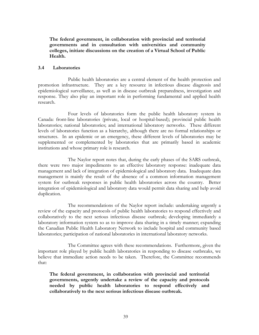**The federal government, in collaboration with provincial and territorial governments and in consultation with universities and community colleges, initiate discussions on the creation of a Virtual School of Public Health.** 

#### **3.4 Laboratories**

 Public health laboratories are a central element of the health protection and promotion infrastructure. They are a key resource in infectious disease diagnosis and epidemiological surveillance, as well as in disease outbreak preparedness, investigation and response. They also play an important role in performing fundamental and applied health research.

 Four levels of laboratories form the public health laboratory system in Canada: front-line laboratories (private, local or hospital-based); provincial public health laboratories; national laboratories; and international laboratory networks. These different levels of laboratories function as a hierarchy, although there are no formal relationships or structures. In an epidemic or an emergency, these different levels of laboratories may be supplemented or complemented by laboratories that are primarily based in academic institutions and whose primary role is research.

 The Naylor report notes that, during the early phases of the SARS outbreak, there were two major impediments to an effective laboratory response: inadequate data management and lack of integration of epidemiological and laboratory data. Inadequate data management is mainly the result of the absence of a common information management system for outbreak responses in public health laboratories across the country. Better integration of epidemiological and laboratory data would permit data sharing and help avoid duplication.

 The recommendations of the Naylor report include: undertaking urgently a review of the capacity and protocols of public health laboratories to respond effectively and collaboratively to the next serious infectious disease outbreak; developing immediately a laboratory information system so as to improve data sharing in a timely manner; expanding the Canadian Public Health Laboratory Network to include hospital and community based laboratories; participation of national laboratories in international laboratory networks.

 The Committee agrees with these recommendations. Furthermore, given the important role played by public health laboratories in responding to disease outbreaks, we believe that immediate action needs to be taken. Therefore, the Committee recommends that:

**The federal government, in collaboration with provincial and territorial governments, urgently undertake a review of the capacity and protocols needed by public health laboratories to respond effectively and collaboratively to the next serious infectious disease outbreak.**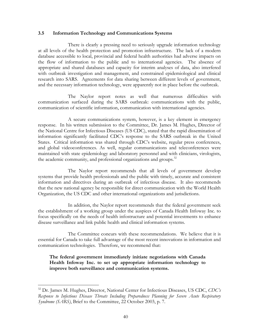#### **3.5 Information Technology and Communications Systems**

 There is clearly a pressing need to seriously upgrade information technology at all levels of the health protection and promotion infrastructure. The lack of a modern database accessible to local, provincial and federal health authorities had adverse impacts on the flow of information to the public and to international agencies. The absence of appropriate and shared databases and capacity for interim analyses of data, also interfered with outbreak investigation and management, and constrained epidemiological and clinical research into SARS. Agreements for data sharing between different levels of government, and the necessary information technology, were apparently not in place before the outbreak.

 The Naylor report notes as well that numerous difficulties with communication surfaced during the SARS outbreak: communications with the public, communication of scientific information, communication with international agencies.

 A secure communications system, however, is a key element in emergency response. In his written submission to the Committee, Dr. James M. Hughes, Director of the National Centre for Infectious Diseases (US CDC), stated that the rapid dissemination of information significantly facilitated CDC's response to the SARS outbreak in the United States. Critical information was shared through CDC's website, regular press conferences, and global videoconferences. As well, regular communications and teleconferences were maintained with state epidemiology and laboratory personnel and with clinicians, virologists, the academic community, and professional organizations and groups.<sup>32</sup>

 The Naylor report recommends that all levels of government develop systems that provide health professionals and the public with timely, accurate and consistent information and directives during an outbreak of infectious disease. It also recommends that the new national agency be responsible for direct communication with the World Health Organization, the US CDC and other international organizations and jurisdictions.

 In addition, the Naylor report recommends that the federal government seek the establishment of a working group under the auspices of Canada Health Infoway Inc. to focus specifically on the needs of health infostructure and potential investments to enhance disease surveillance and link public health and clinical information systems.

 The Committee concurs with these recommendations. We believe that it is essential for Canada to take full advantage of the most recent innovations in information and communication technologies. Therefore, we recommend that:

## **The federal government immediately initiate negotiations with Canada Health Infoway Inc. to set up appropriate information technology to improve both surveillance and communication systems.**

<sup>32</sup> Dr. James M. Hughes, Director, National Center for Infectious Diseases, US CDC, *CDC's Response to Infectious Disease Threats Including Preparedness Planning for Severe Acute Respiratory Syndrome (SARS)*, Brief to the Committee, 22 October 2003, p. 7.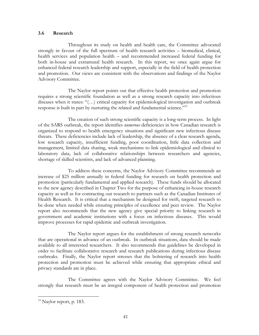#### **3.6 Research**

 Throughout its study on health and health care, the Committee advocated strongly in favour of the full spectrum of health research activities – biomedical, clinical, health services and population health – and recommended increased federal funding for both in-house and extramural health research. In this report, we once again argue for enhanced federal research leadership and support, especially in the field of health protection and promotion. Our views are consistent with the observations and findings of the Naylor Advisory Committee.

 The Naylor report points out that effective health protection and promotion requires a strong scientific foundation as well as a strong research capacity into infectious diseases when it states: "(…) critical capacity for epidemiological investigation and outbreak response is built in part by nurturing the related and fundamental science."<sup>33</sup>

 The creation of such strong scientific capacity is a long-term process. In light of the SARS outbreak, the report identifies *numerous* deficiencies in how Canadian research is organized to respond to health emergency situations and significant new infectious disease threats. These deficiencies include lack of leadership, the absence of a clear research agenda, low research capacity, insufficient funding, poor coordination, little data collection and management, limited data sharing, weak mechanisms to link epidemiological and clinical to laboratory data, lack of collaborative relationships between researchers and agencies, shortage of skilled scientists, and lack of advanced planning.

 To address these concerns, the Naylor Advisory Committee recommends an increase of \$25 million annually in federal funding for research on health protection and promotion (particularly fundamental and applied research). These funds should be allocated to the new agency described in Chapter Two for the purpose of enhancing in-house research capacity as well as for contracting out research to partners such as the Canadian Institutes of Health Research. It is critical that a mechanism be designed for swift, targeted research to be done when needed while ensuring principles of excellence and peer review. The Naylor report also recommends that the new agency give special priority to linking research in government and academic institutions with a focus on infectious diseases. This would improve processes for rapid epidemic and outbreak investigation.

 The Naylor report argues for the establishment of strong research networks that are operational in advance of an outbreak. In outbreak situations, data should be made available to all interested researchers. It also recommends that guidelines be developed in order to facilitate collaborative research and research publications during infectious disease outbreaks. Finally, the Naylor report stresses that the bolstering of research into health protection and promotion must be achieved while ensuring that appropriate ethical and privacy standards are in place.

 The Committee agrees with the Naylor Advisory Committee. We feel strongly that research must be an integral component of health protection and promotion

1

<sup>&</sup>lt;sup>33</sup> Naylor report, p. 183.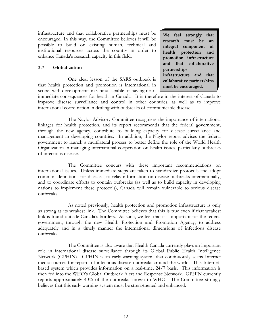infrastructure and that collaborative partnerships must be encouraged. In this way, the Committee believes it will be possible to build on existing human, technical and institutional resources across the country in order to enhance Canada's research capacity in this field.

## **3.7 Globalization**

 One clear lesson of the SARS outbreak is that health protection and promotion is international in scope, with developments in China capable of having near-

**We feel strongly that research must be an integral component of health protection and promotion infrastructure and that collaborative partnerships infrastructure and that collaborative partnerships must be encouraged.** 

immediate consequences for health in Canada. It is therefore in the interest of Canada to improve disease surveillance and control in other countries, as well as to improve international coordination in dealing with outbreaks of communicable disease.

 The Naylor Advisory Committee recognizes the importance of international linkages for health protection, and its report recommends that the federal government, through the new agency, contribute to building capacity for disease surveillance and management in developing countries. In addition, the Naylor report advises the federal government to launch a multilateral process to better define the role of the World Health Organization in managing international cooperation on health issues, particularly outbreaks of infectious disease.

 The Committee concurs with these important recommendations on international issues. Unless immediate steps are taken to standardize protocols and adopt common definitions for diseases, to relay information on disease outbreaks internationally, and to coordinate efforts to contain outbreaks (as well as to build capacity in developing nations to implement these protocols), Canada will remain vulnerable to serious disease outbreaks.

 As noted previously, health protection and promotion infrastructure is only as strong as its weakest link. The Committee believes that this is true even if that weakest link is found outside Canada's borders. As such, we feel that it is important for the federal government, through the new Health Protection and Promotion Agency, to address adequately and in a timely manner the international dimensions of infectious disease outbreaks.

 The Committee is also aware that Health Canada currently plays an important role in international disease surveillance through its Global Public Health Intelligence Network (GPHIN). GPHIN is an early-warning system that continuously scans Internet media sources for reports of infectious disease outbreaks around the world. This Internetbased system which provides information on a real-time, 24/7 basis. This information is then fed into the WHO's Global Outbreak Alert and Response Network. GPHIN currently reports approximately 40% of the outbreaks known to WHO. The Committee strongly believes that this early warning system must be strengthened and enhanced.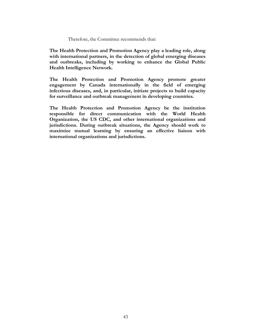#### Therefore, the Committee recommends that:

**The Health Protection and Promotion Agency play a leading role, along with international partners, in the detection of global emerging diseases and outbreaks, including by working to enhance the Global Public Health Intelligence Network.** 

**The Health Protection and Promotion Agency promote greater engagement by Canada internationally in the field of emerging infectious diseases, and, in particular, initiate projects to build capacity for surveillance and outbreak management in developing countries.** 

**The Health Protection and Promotion Agency be the institution responsible for direct communication with the World Health Organization, the US CDC, and other international organizations and jurisdictions. During outbreak situations, the Agency should work to maximize mutual learning by ensuring an effective liaison with international organizations and jurisdictions.**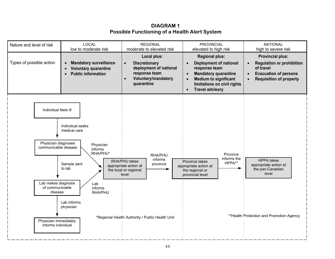**DIAGRAM 1 Possible Functioning of a Health Alert System**

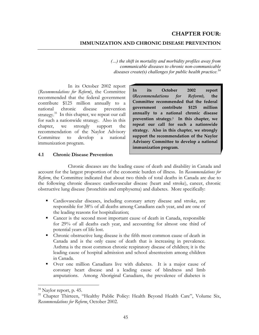## **CHAPTER FOUR:**

#### **IMMUNIZATION AND CHRONIC DISEASE PREVENTION**

*(…) the shift in mortality and morbidity profiles away from communicable diseases to chronic non-communicable diseases create(s) challenges for public health practice.<sup>34</sup>*

 In its October 2002 report (*Recommendations for Reform*), the Committee recommended that the federal government contribute \$125 million annually to a national chronic disease prevention strategy.<sup>35</sup> In this chapter, we repeat our call for such a nationwide strategy. Also in this chapter, we strongly support the recommendation of the Naylor Advisory Committee to develop a national immunization program.

**In its October 2002 report (***Recommendations for Reform***), the Committee recommended that the federal government contribute \$125 million annually to a national chronic disease prevention strategy.1 In this chapter, we repeat our call for such a nationwide strategy. Also in this chapter, we strongly support the recommendation of the Naylor Advisory Committee to develop a national immunization program.** 

#### **4.1 Chronic Disease Prevention**

 Chronic diseases are the leading cause of death and disability in Canada and account for the largest proportion of the economic burden of illness. In *Recommendations for Reform*, the Committee indicated that about two thirds of total deaths in Canada are due to the following chronic diseases: cardiovascular disease (heart and stroke), cancer, chronic obstructive lung disease (bronchitis and emphysema) and diabetes. More specifically:

- Cardiovascular diseases, including coronary artery disease and stroke, are responsible for 38% of all deaths among Canadians each year, and are one of the leading reasons for hospitalization;
- Cancer is the second most important cause of death in Canada, responsible for 29% of all deaths each year, and accounting for almost one third of potential years of life lost.
- Chronic obstructive lung disease is the fifth most common cause of death in Canada and is the only cause of death that is increasing in prevalence. Asthma is the most common chronic respiratory disease of children; it is the leading cause of hospital admission and school absenteeism among children in Canada.
- Over one million Canadians live with diabetes. It is a major cause of coronary heart disease and a leading cause of blindness and limb amputations. Among Aboriginal Canadians, the prevalence of diabetes is

 $34$  Naylor report, p. 45.

<sup>&</sup>lt;sup>35</sup> Chapter Thirteen, "Healthy Public Policy: Health Beyond Health Care", Volume Six, *Recommendations for Reform*, October 2002.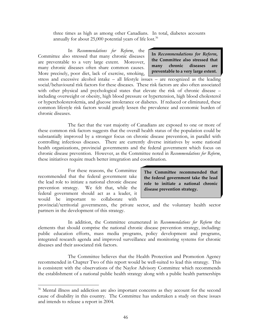three times as high as among other Canadians. In total, diabetes accounts annually for about  $25,000$  potential years of life lost.<sup>36</sup>

 In *Recommendations for Reform*, the Committee also stressed that many chronic diseases are preventable to a very large extent. Moreover, many chronic diseases often share common causes. More precisely, poor diet, lack of exercise, smoking,

**In** *Recommendations for Reform***, the Committee also stressed that many chronic diseases are preventable to a very large extent.**

stress and excessive alcohol intake – all lifestyle issues – are recognized as the leading social/behavioural risk factors for these diseases. These risk factors are also often associated with other physical and psychological states that elevate the risk of chronic disease – including overweight or obesity, high blood pressure or hypertension, high blood cholesterol or hypercholesterolemia, and glucose intolerance or diabetes. If reduced or eliminated, these common lifestyle risk factors would greatly lessen the prevalence and economic burden of chronic diseases.

 The fact that the vast majority of Canadians are exposed to one or more of these common risk factors suggests that the overall health status of the population could be substantially improved by a stronger focus on chronic disease prevention, in parallel with controlling infectious diseases. There are currently diverse initiatives by some national health organizations, provincial governments and the federal government which focus on chronic disease prevention. However, as the Committee noted in *Recommendations for Reform*, these initiatives require much better integration and coordination.

 For these reasons, the Committee recommended that the federal government take the lead role to initiate a national chronic disease prevention strategy. We felt that, while the federal government should act as a leader, it would be important to collaborate with

1

**The Committee recommended that the federal government take the lead role to initiate a national chronic disease prevention strategy.** 

provincial/territorial governments, the private sector, and the voluntary health sector partners in the development of this strategy.

 In addition, the Committee enumerated in *Recommendations for Reform* the elements that should comprise the national chronic disease prevention strategy, including: public education efforts, mass media programs, policy development and programs, integrated research agenda and improved surveillance and monitoring systems for chronic diseases and their associated risk factors.

 The Committee believes that the Health Protection and Promotion Agency recommended in Chapter Two of this report would be well-suited to lead this strategy. This is consistent with the observations of the Naylor Advisory Committee which recommends the establishment of a national public health strategy along with a public health partnerships

<sup>&</sup>lt;sup>36</sup> Mental illness and addiction are also important concerns as they account for the second cause of disability in this country. The Committee has undertaken a study on these issues and intends to release a report in 2004.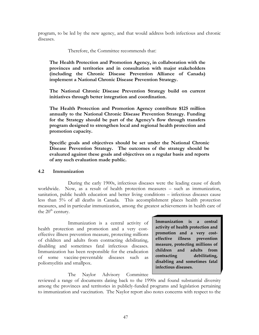program, to be led by the new agency, and that would address both infectious and chronic diseases.

Therefore, the Committee recommends that:

**The Health Protection and Promotion Agency, in collaboration with the provinces and territories and in consultation with major stakeholders (including the Chronic Disease Prevention Alliance of Canada) implement a National Chronic Disease Prevention Strategy.** 

**The National Chronic Disease Prevention Strategy build on current initiatives through better integration and coordination.** 

**The Health Protection and Promotion Agency contribute \$125 million annually to the National Chronic Disease Prevention Strategy. Funding for the Strategy should be part of the Agency's flow through transfers program designed to strengthen local and regional health protection and promotion capacity.** 

**Specific goals and objectives should be set under the National Chronic Disease Prevention Strategy. The outcomes of the strategy should be evaluated against these goals and objectives on a regular basis and reports of any such evaluation made public.** 

## **4.2 Immunization**

 During the early 1900s, infectious diseases were the leading cause of death worldwide. Now, as a result of health protection measures – such as immunization, sanitation, public health education and better living conditions – infectious diseases cause less than 5% of all deaths in Canada. This accomplishment places health protection measures, and in particular immunization, among the greatest achievements in health care of the  $20<sup>th</sup>$  century.

 Immunization is a central activity of health protection and promotion and a very costeffective illness prevention measure, protecting millions of children and adults from contracting debilitating, disabling and sometimes fatal infectious diseases. Immunization has been responsible for the eradication of some vaccine-preventable diseases such as poliomyelitis and smallpox.

**Immunization is a central activity of health protection and promotion and a very costeffective illness prevention measure, protecting millions of children and adults from contracting debilitating, disabling and sometimes fatal infectious diseases.** 

The Naylor Advisory Committee

reviewed a range of documents dating back to the 1990s and found substantial diversity among the provinces and territories in publicly-funded programs and legislation pertaining to immunization and vaccination. The Naylor report also notes concerns with respect to the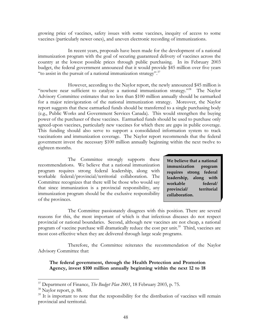growing price of vaccines, safety issues with some vaccines, inequity of access to some vaccines (particularly newer ones), and uneven electronic recording of immunizations.

 In recent years, proposals have been made for the development of a national immunization program with the goal of securing guaranteed delivery of vaccines across the country at the lowest possible prices through public purchasing. In its February 2003 budget, the federal government announced that it would provide \$45 million over five years "to assist in the pursuit of a national immunization strategy". $37$ 

 However, according to the Naylor report, the newly announced \$45 million is "nowhere near sufficient to catalyze a national immunization strategy."<sup>38</sup> The Naylor Advisory Committee estimates that no less than \$100 million annually should be earmarked for a major reinvigoration of the national immunization strategy. Moreover, the Naylor report suggests that these earmarked funds should be transferred to a single purchasing body (e.g., Public Works and Government Services Canada). This would strengthen the buying power of the purchaser of these vaccines. Earmarked funds should be used to purchase only agreed-upon vaccines, particularly new vaccines for which there are gaps in public coverage. This funding should also serve to support a consolidated information system to track vaccinations and immunization coverage. The Naylor report recommends that the federal government invest the necessary \$100 million annually beginning within the next twelve to eighteen months.

The Committee strongly supports these recommendations. We believe that a national immunization program requires strong federal leadership, along with workable federal/provincial/territorial collaboration. The Committee recognizes that there will be those who would say that since immunization is a provincial responsibility, any immunization program should be the exclusive responsibility of the provinces.

**We believe that a national immunization program requires strong federal leadership, along with workable federal/ provincial/ territorial collaboration.** 

 The Committee passionately disagrees with this position. There are several reasons for this, the most important of which is that infectious diseases do not respect provincial or national boundaries. Second, although new vaccines are not cheap, a national program of vaccine purchase will dramatically reduce the cost per unit.<sup>39</sup> Third, vaccines are most cost-effective when they are delivered through large scale programs.

 Therefore, the Committee reiterates the recommendation of the Naylor Advisory Committee that:

**The federal government, through the Health Protection and Promotion Agency, invest \$100 million annually beginning within the next 12 to 18** 

1

<sup>37</sup> Department of Finance, *The Budget Plan 2003*, 18 February 2003, p. 75.

 $38$  Naylor report, p. 88.

 $39$  It is important to note that the responsibility for the distribution of vaccines will remain provincial and territorial.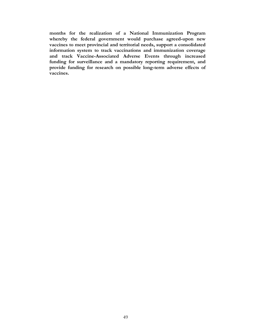**months for the realization of a National Immunization Program whereby the federal government would purchase agreed-upon new vaccines to meet provincial and territorial needs, support a consolidated information system to track vaccinations and immunization coverage and track Vaccine-Associated Adverse Events through increased funding for surveillance and a mandatory reporting requirement, and provide funding for research on possible long-term adverse effects of vaccines.**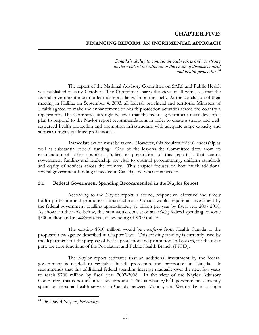## **CHAPTER FIVE: FINANCING REFORM: AN INCREMENTAL APPROACH**

*Canada's ability to contain an outbreak is only as strong as the weakest jurisdiction in the chain of disease control and health protection.40*

 The report of the National Advisory Committee on SARS and Public Health was published in early October. The Committee shares the view of all witnesses that the federal government must not let this report languish on the shelf. At the conclusion of their meeting in Halifax on September 4, 2003, all federal, provincial and territorial Ministers of Health agreed to make the enhancement of health protection activities across the country a top priority. The Committee strongly believes that the federal government must develop a plan to respond to the Naylor report recommendations in order to create a strong and wellresourced health protection and promotion infrastructure with adequate surge capacity and sufficient highly qualified professionals.

Immediate action must be taken. However, this requires federal leadership as well as substantial federal funding. One of the lessons the Committee drew from its examination of other countries studied in preparation of this report is that central government funding and leadership are vital to optimal programming, uniform standards and equity of services across the country. This chapter focuses on how much additional federal government funding is needed in Canada, and when it is needed.

## **5.1 Federal Government Spending Recommended in the Naylor Report**

 According to the Naylor report, a sound, responsive, effective and timely health protection and promotion infrastructure in Canada would require an investment by the federal government totalling approximately \$1 billion per year by fiscal year 2007-2008. As shown in the table below, this sum would consist of an *existing* federal spending of some \$300 million and an *additional* federal spending of \$700 million.

 The existing \$300 million would be *transferred* from Health Canada to the proposed new agency described in Chapter Two. This existing funding is currently used by the department for the purpose of health protection and promotion and covers, for the most part, the core functions of the Population and Public Health Branch (PPHB).

 The Naylor report estimates that an additional investment by the federal government is needed to revitalize health protection and promotion in Canada. It recommends that this additional federal spending increase gradually over the next few years to reach \$700 million by fiscal year 2007-2008. In the view of the Naylor Advisory Committee, this is not an unrealistic amount: "This is what  $F/P/T$  governments currently spend on personal health services in Canada between Monday and Wednesday in a single

<sup>40</sup> Dr. David Naylor, *Proceedings*.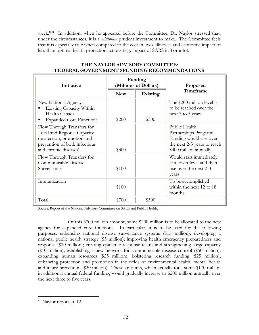week."<sup>41</sup> In addition, when he appeared before the Committee, Dr. Naylor stressed that, under the circumstances, it is a *minimum* prudent investment to make. The Committee feels that it is especially true when compared to the cost in lives, illnesses and economic impact of less-than optimal health protection actions (e.g. impact of SARS in Toronto).

| Initiative                                                                                                                                        | Funding<br>(Millions of Dollars) |                 | Proposed                                                                                                                   |
|---------------------------------------------------------------------------------------------------------------------------------------------------|----------------------------------|-----------------|----------------------------------------------------------------------------------------------------------------------------|
|                                                                                                                                                   | <b>New</b>                       | <b>Existing</b> | Timeframe                                                                                                                  |
| New National Agency:<br>Existing Capacity Within<br>Health Canada<br><b>Expanded Core Functions</b>                                               | \$200                            | \$300           | The \$200 million level is<br>to be reached over the<br>next 3 to 5 years                                                  |
| Flow Through Transfers for<br>Local and Regional Capacity<br>(protection, promotion and<br>prevention of both infectious<br>and chronic diseases) | \$300                            |                 | Public Health<br>Partnerships Program:<br>Funding would rise over<br>the next 2-3 years to reach<br>\$300 million annually |
| Flow Through Transfers for<br>Communicable Disease<br>Surveillance                                                                                | \$100                            |                 | Would start immediately<br>at a lower level and then<br>rise over the next 2-3<br>years                                    |
| Immunization                                                                                                                                      | \$100                            |                 | To be accomplished<br>within the next 12 to 18<br>months.                                                                  |
| Total                                                                                                                                             | \$700                            | \$300           |                                                                                                                            |

## **THE NAYLOR ADVISORY COMMITTEE: FEDERAL GOVERNMENT SPENDING RECOMMENDATIONS**

Source: Report of the National Advisory Committee on SARS and Public Health.

 Of this \$700 million amount, some \$200 million is to be allocated to the new agency for expanded core functions. In particular, it is to be used for the following purposes: enhancing national disease surveillance systems (\$15 million); developing a national public health strategy (\$5 million); improving health emergency preparedness and response (\$10 million); creating epidemic response teams and strengthening surge capacity (\$10 million); establishing a new network for communicable disease control (\$50 million); expanding human resources (\$25 million); bolstering research funding (\$25 million); enhancing protection and promotion in the fields of environmental health, mental health and injury prevention (\$30 million). These amounts, which actually total some \$170 million in additional annual federal funding, would gradually increase to \$200 million annually over the next three to five years.

 $41$  Naylor report, p. 12.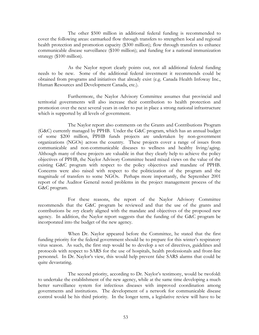The other \$500 million in additional federal funding is recommended to cover the following areas: earmarked flow through transfers to strengthen local and regional health protection and promotion capacity (\$300 million); flow through transfers to enhance communicable disease surveillance (\$100 million); and funding for a national immunization strategy (\$100 million).

 As the Naylor report clearly points out, not all additional federal funding needs to be new. Some of the additional federal investment it recommends could be obtained from programs and initiatives that already exist (e.g. Canada Health Infoway Inc., Human Resources and Development Canada, etc.).

 Furthermore, the Naylor Advisory Committee assumes that provincial and territorial governments will also increase their contribution to health protection and promotion over the next several years in order to put in place a strong national infrastructure which is supported by all levels of government.

 The Naylor report also comments on the Grants and Contributions Program (G&C) currently managed by PPHB. Under the G&C program, which has an annual budget of some \$200 million, PPHB funds projects are undertaken by non-government organizations (NGOs) across the country. These projects cover a range of issues from communicable and non-communicable diseases to wellness and healthy living/aging. Although many of these projects are valuable in that they clearly help to achieve the policy objectives of PPHB, the Naylor Advisory Committee heard mixed views on the value of the existing G&C program with respect to the policy objectives and mandate of PPHB. Concerns were also raised with respect to the politicization of the program and the magnitude of transfers to some NGOs. Perhaps more importantly, the September 2001 report of the Auditor General noted problems in the project management process of the G&C program.

 For these reasons, the report of the Naylor Advisory Committee recommends that the G&C program be reviewed and that the use of the grants and contributions be *very* clearly aligned with the mandate and objectives of the proposed new agency. In addition, the Naylor report suggests that the funding of the G&C program be incorporated into the budget of the new agency.

 When Dr. Naylor appeared before the Committee, he stated that the first funding priority for the federal government should be to prepare for this winter's respiratory virus season. As such, the first step would be to develop a set of directives, guidelines and protocols with respect to SARS for the use of hospitals, health professionals and front-line personnel. In Dr. Naylor's view, this would help prevent false SARS alarms that could be quite devastating.

 The second priority, according to Dr. Naylor's testimony, would be twofold: to undertake the establishment of the new agency, while at the same time developing a much better surveillance system for infectious diseases with improved coordination among governments and institutions. The development of a network for communicable disease control would be his third priority. In the longer term, a legislative review will have to be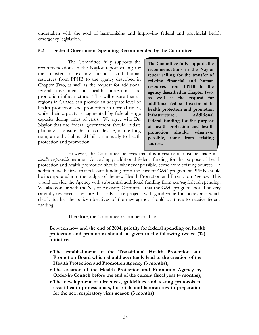undertaken with the goal of harmonizing and improving federal and provincial health emergency legislation.

## **5.2 Federal Government Spending Recommended by the Committee**

 The Committee fully supports the recommendations in the Naylor report calling for the transfer of existing financial and human resources from PPHB to the agency described in Chapter Two, as well as the request for additional federal investment in health protection and promotion infrastructure. This will ensure that all regions in Canada can provide an adequate level of health protection and promotion in normal times, while their capacity is augmented by federal surge capacity during times of crisis. We agree with Dr. Naylor that the federal government should initiate planning to ensure that it can devote, in the long term, a total of about \$1 billion annually to health protection and promotion.

**The Committee fully supports the recommendations in the Naylor report calling for the transfer of existing financial and human resources from PPHB to the agency described in Chapter Two, as well as the request for additional federal investment in health protection and promotion infrastructure… Additional federal funding for the purpose of health protection and health promotion should, whenever possible, come from existing sources.** 

 However, the Committee believes that this investment must be made in a *fiscally responsible* manner. Accordingly, additional federal funding for the purpose of health protection and health promotion should, whenever possible, come from existing sources. In addition, we believe that relevant funding from the current G&C program at PPHB should be incorporated into the budget of the new Health Protection and Promotion Agency. This would provide the Agency with substantial additional funding from *existing* federal spending. We also concur with the Naylor Advisory Committee that the G&C program should be very carefully reviewed to ensure that only those projects with good value-for-money and which clearly further the policy objectives of the new agency should continue to receive federal funding.

Therefore, the Committee recommends that:

**Between now and the end of 2004, priority for federal spending on health protection and promotion should be given to the following twelve (12) initiatives:** 

- **The establishment of the Transitional Health Protection and Promotion Board which should eventually lead to the creation of the Health Protection and Promotion Agency (3 months);**
- **The creation of the Health Protection and Promotion Agency by Order-in-Council before the end of the current fiscal year (4 months);**
- **The development of directives, guidelines and testing protocols to assist health professionals, hospitals and laboratories in preparation for the next respiratory virus season (3 months);**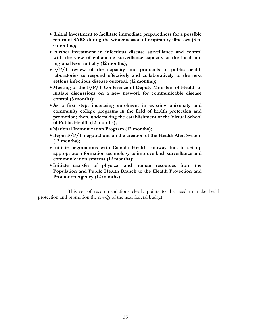- **Initial investment to facilitate immediate preparedness for a possible return of SARS during the winter season of respiratory illnesses (3 to 6 months);**
- **Further investment in infectious disease surveillance and control with the view of enhancing surveillance capacity at the local and regional level initially (12 months);**
- **F/P/T review of the capacity and protocols of public health laboratories to respond effectively and collaboratively to the next serious infectious disease outbreak (12 months);**
- **Meeting of the F/P/T Conference of Deputy Ministers of Health to initiate discussions on a new network for communicable disease control (3 months);**
- **As a first step, increasing enrolment in existing university and community college programs in the field of health protection and promotion; then, undertaking the establishment of the Virtual School of Public Health (12 months);**
- **National Immunization Program (12 months);**
- **Begin F/P/T negotiations on the creation of the Health Alert System (12 months);**
- **Initiate negotiations with Canada Health Infoway Inc. to set up appropriate information technology to improve both surveillance and communication systems (12 months);**
- **Initiate transfer of physical and human resources from the Population and Public Health Branch to the Health Protection and Promotion Agency (12 months).**

This set of recommendations clearly points to the need to make health protection and promotion the *priority* of the next federal budget.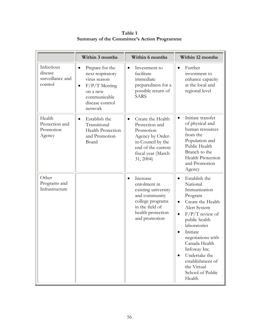|                                                      | Within 3 months                                                                                                                                            | Within 6 months                                                                                                                                                 | Within 12 months                                                                                                                                                                                                                                                                                                                                        |
|------------------------------------------------------|------------------------------------------------------------------------------------------------------------------------------------------------------------|-----------------------------------------------------------------------------------------------------------------------------------------------------------------|---------------------------------------------------------------------------------------------------------------------------------------------------------------------------------------------------------------------------------------------------------------------------------------------------------------------------------------------------------|
| Infectious<br>disease<br>surveillance and<br>control | Prepare for the<br>$\bullet$<br>next respiratory<br>virus season<br>$F/P/T$ Meeting<br>$\bullet$<br>on a new<br>communicable<br>disease control<br>network | Investment to<br>$\bullet$<br>facilitate<br>immediate<br>preparedness for a<br>possible return of<br><b>SARS</b>                                                | Further<br>$\bullet$<br>investment to<br>enhance capacity<br>at the local and<br>regional level                                                                                                                                                                                                                                                         |
| Health<br>Protection and<br>Promotion<br>Agency      | Establish the<br>$\bullet$<br>Transitional<br>Health Protection<br>and Promotion<br>Board                                                                  | Create the Health<br>$\bullet$<br>Protection and<br>Promotion<br>Agency by Order-<br>in-Council by the<br>end of the current<br>fiscal year (March<br>31, 2004) | Initiate transfer<br>$\bullet$<br>of physical and<br>human resources<br>from the<br>Population and<br>Public Health<br>Branch to the<br>Health Protection<br>and Promotion<br>Agency                                                                                                                                                                    |
| Other<br>Programs and<br>Infrastructure              |                                                                                                                                                            | Increase<br>$\bullet$<br>enrolment in<br>existing university<br>and community<br>college programs<br>in the field of<br>health protection<br>and promotion      | Establish the<br>$\bullet$<br>National<br>Immunization<br>Program<br>Create the Health<br>$\bullet$<br>Alert System<br>$F/P/T$ review of<br>$\bullet$<br>public health<br>laboratories<br>Initiate<br>negotiations with<br>Canada Health<br>Infoway Inc.<br>Undertake the<br>$\bullet$<br>establishment of<br>the Virtual<br>School of Public<br>Health |

**Table 1 Summary of the Committee's Action Programme**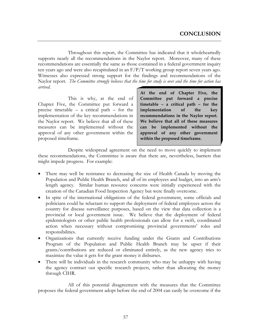Throughout this report, the Committee has indicated that it wholeheartedly supports nearly all the recommendations in the Naylor report. Moreover, many of these recommendations are essentially the same as those contained in a federal government inquiry ten years ago and were also recapitulated in an F/P/T working group report seven years ago. Witnesses also expressed strong support for the findings and recommendations of the Naylor report. *The Committee strongly believes that the time for study is over and the time for action has arrived*.

 This is why, at the end of Chapter Five, the Committee put forward a precise timetable – a critical path – for the implementation of the key recommendations in the Naylor report. We believe that all of these measures can be implemented without the approval of any other government within the proposed timeframe.

**At the end of Chapter Five, the Committee put forward a precise timetable – a critical path – for the implementation of the key recommendations in the Naylor report. We believe that all of these measures can be implemented without the approval of any other government within the proposed timeframe.**

 Despite widespread agreement on the need to move quickly to implement these recommendations, the Committee is aware that there are, nevertheless, barriers that might impede progress. For example:

- There may well be resistance to decreasing the size of Health Canada by moving the Population and Public Health Branch, and all of its employees and budget, into an arm's length agency. Similar human resource concerns were initially experienced with the creation of the Canadian Food Inspection Agency but were finally overcome.
- In spite of the international obligations of the federal government, some officials and politicians could be reluctant to support the deployment of federal employees across the country for disease surveillance purposes, based on the view that data collection is a provincial or local government issue. We believe that the deployment of federal epidemiologists or other public health professionals can allow for a swift, coordinated action when necessary without compromising provincial governments' roles and responsibilities.
- Organizations that currently receive funding under the Grants and Contributions Program of the Population and Public Health Branch may be upset if their grants/contributions are reduced or eliminated entirely, as the new agency tries to maximize the value it gets for the grant money it disburses.
- There will be individuals in the research community who may be unhappy with having the agency contract out specific research projects, rather than allocating the money through CIHR.

 All of this potential disagreement with the measures that the Committee proposes the federal government adopt before the end of 2004 can easily be overcome if the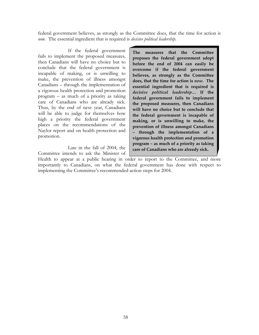federal government believes, as strongly as the Committee does, that the time for action is *now.* The essential ingredient that is required is *decisive political leadership*.

 If the federal government fails to implement the proposed measures, then Canadians will have no choice but to conclude that the federal government is incapable of making, or is unwilling to make, the prevention of illness amongst Canadians – through the implementation of a vigorous health protection and promotion program – as much of a priority as taking care of Canadians who are already sick. Thus, by the end of next year, Canadians will be able to judge for themselves how high a priority the federal government places on the recommendations of the Naylor report and on health protection and promotion.

 Late in the fall of 2004, the Committee intends to ask the Minister of

**The measures that the Committee proposes the federal government adopt before the end of 2004 can easily be overcome if the federal government believes, as strongly as the Committee does, that the time for action is** *now.* **The essential ingredient that is required is** *decisive political leadership***… If the federal government fails to implement the proposed measures, then Canadians will have no choice but to conclude that the federal government is incapable of making, or is unwilling to make, the prevention of illness amongst Canadians – through the implementation of a vigorous health protection and promotion program – as much of a priority as taking care of Canadians who are already sick.** 

Health to appear at a public hearing in order to report to the Committee, and more importantly to Canadians, on what the federal government has done with respect to implementing the Committee's recommended action steps for 2004.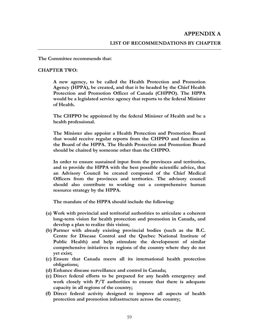**The Committee recommends that**:

#### **CHAPTER TWO:**

**A new agency, to be called the Health Protection and Promotion Agency (HPPA), be created, and that it be headed by the Chief Health Protection and Promotion Officer of Canada (CHPPO). The HPPA would be a legislated service agency that reports to the federal Minister of Health.** 

**The CHPPO be appointed by the federal Minister of Health and be a health professional.** 

**The Minister also appoint a Health Protection and Promotion Board that would receive regular reports from the CHPPO and function as the Board of the HPPA. The Health Protection and Promotion Board should be chaired by someone other than the CHPPO.** 

**In order to ensure sustained input from the provinces and territories, and to provide the HPPA with the best possible scientific advice, that an Advisory Council be created composed of the Chief Medical Officers from the provinces and territories. The advisory council should also contribute to working out a comprehensive human resource strategy by the HPPA.** 

**The mandate of the HPPA should include the following:** 

- **(a) Work with provincial and territorial authorities to articulate a coherent long-term vision for health protection and promotion in Canada, and develop a plan to realize this vision;**
- **(b) Partner with already existing provincial bodies (such as the B.C. Centre for Disease Control and the Quebec National Institute of Public Health) and help stimulate the development of similar comprehensive initiatives in regions of the country where they do not yet exist;**
- **(c) Ensure that Canada meets all its international health protection obligations;**
- **(d) Enhance disease surveillance and control in Canada;**
- **(e) Direct federal efforts to be prepared for any health emergency and work closely with P/T authorities to ensure that there is adequate capacity in all regions of the country;**
- **(f) Direct federal activity designed to improve all aspects of health protection and promotion infrastructure across the country;**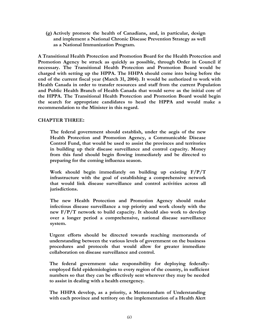**(g) Actively promote the health of Canadians, and, in particular, design and implement a National Chronic Disease Prevention Strategy as well as a National Immunization Program.** 

**A Transitional Health Protection and Promotion Board for the Health Protection and Promotion Agency be struck as quickly as possible, through Order in Council if necessary. The Transitional Health Protection and Promotion Board would be charged with setting up the HPPA. The HHPA should come into being before the end of the current fiscal year (March 31, 2004). It would be authorized to work with Health Canada in order to transfer resources and staff from the current Population and Public Health Branch of Health Canada that would serve as the initial core of the HPPA. The Transitional Health Protection and Promotion Board would begin the search for appropriate candidates to head the HPPA and would make a recommendation to the Minister in this regard.**

#### **CHAPTER THREE:**

**The federal government should establish, under the aegis of the new Health Protection and Promotion Agency, a Communicable Disease Control Fund, that would be used to assist the provinces and territories in building up their disease surveillance and control capacity. Money from this fund should begin flowing immediately and be directed to preparing for the coming influenza season.** 

**Work should begin immediately on building up existing F/P/T infrastructure with the goal of establishing a comprehensive network that would link disease surveillance and control activities across all jurisdictions.** 

**The new Health Protection and Promotion Agency should make infectious disease surveillance a top priority and work closely with the new F/P/T network to build capacity. It should also work to develop over a longer period a comprehensive, national disease surveillance system.** 

**Urgent efforts should be directed towards reaching memoranda of understanding between the various levels of government on the business procedures and protocols that would allow for greater immediate collaboration on disease surveillance and control.** 

**The federal government take responsibility for deploying federallyemployed field epidemiologists to every region of the country, in sufficient numbers so that they can be effectively sent wherever they may be needed to assist in dealing with a health emergency.** 

**The HHPA develop, as a priority, a Memorandum of Understanding with each province and territory on the implementation of a Health Alert**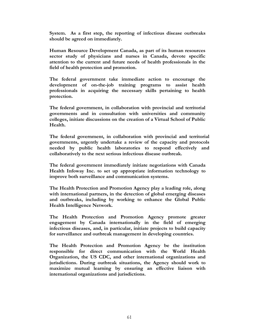**System. As a first step, the reporting of infectious disease outbreaks should be agreed on immediately.** 

**Human Resource Development Canada, as part of its human resources sector study of physicians and nurses in Canada, devote specific attention to the current and future needs of health professionals in the field of health protection and promotion.** 

**The federal government take immediate action to encourage the development of on-the-job training programs to assist health professionals in acquiring the necessary skills pertaining to health protection.** 

**The federal government, in collaboration with provincial and territorial governments and in consultation with universities and community colleges, initiate discussions on the creation of a Virtual School of Public Health.** 

**The federal government, in collaboration with provincial and territorial governments, urgently undertake a review of the capacity and protocols needed by public health laboratories to respond effectively and collaboratively to the next serious infectious disease outbreak.** 

**The federal government immediately initiate negotiations with Canada Health Infoway Inc. to set up appropriate information technology to improve both surveillance and communication systems.** 

**The Health Protection and Promotion Agency play a leading role, along with international partners, in the detection of global emerging diseases and outbreaks, including by working to enhance the Global Public Health Intelligence Network.** 

**The Health Protection and Promotion Agency promote greater engagement by Canada internationally in the field of emerging infectious diseases, and, in particular, initiate projects to build capacity for surveillance and outbreak management in developing countries.** 

**The Health Protection and Promotion Agency be the institution responsible for direct communication with the World Health Organization, the US CDC, and other international organizations and jurisdictions. During outbreak situations, the Agency should work to maximize mutual learning by ensuring an effective liaison with international organizations and jurisdictions.**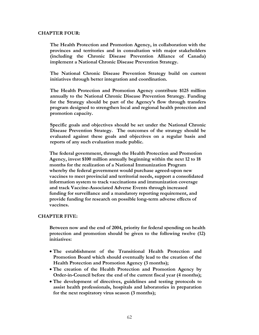#### **CHAPTER FOUR:**

**The Health Protection and Promotion Agency, in collaboration with the provinces and territories and in consultation with major stakeholders (including the Chronic Disease Prevention Alliance of Canada) implement a National Chronic Disease Prevention Strategy.** 

**The National Chronic Disease Prevention Strategy build on current initiatives through better integration and coordination.** 

**The Health Protection and Promotion Agency contribute \$125 million annually to the National Chronic Disease Prevention Strategy. Funding for the Strategy should be part of the Agency's flow through transfers program designed to strengthen local and regional health protection and promotion capacity.** 

**Specific goals and objectives should be set under the National Chronic Disease Prevention Strategy. The outcomes of the strategy should be evaluated against these goals and objectives on a regular basis and reports of any such evaluation made public.** 

**The federal government, through the Health Protection and Promotion Agency, invest \$100 million annually beginning within the next 12 to 18 months for the realization of a National Immunization Program whereby the federal government would purchase agreed-upon new vaccines to meet provincial and territorial needs, support a consolidated information system to track vaccinations and immunization coverage and track Vaccine-Associated Adverse Events through increased funding for surveillance and a mandatory reporting requirement, and provide funding for research on possible long-term adverse effects of vaccines.** 

#### **CHAPTER FIVE:**

**Between now and the end of 2004, priority for federal spending on health protection and promotion should be given to the following twelve (12) initiatives:** 

- **The establishment of the Transitional Health Protection and Promotion Board which should eventually lead to the creation of the Health Protection and Promotion Agency (3 months);**
- **The creation of the Health Protection and Promotion Agency by Order-in-Council before the end of the current fiscal year (4 months);**
- **The development of directives, guidelines and testing protocols to assist health professionals, hospitals and laboratories in preparation for the next respiratory virus season (3 months);**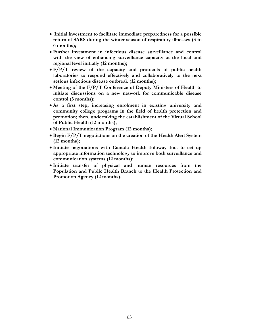- **Initial investment to facilitate immediate preparedness for a possible return of SARS during the winter season of respiratory illnesses (3 to 6 months);**
- **Further investment in infectious disease surveillance and control with the view of enhancing surveillance capacity at the local and regional level initially (12 months);**
- **F/P/T review of the capacity and protocols of public health laboratories to respond effectively and collaboratively to the next serious infectious disease outbreak (12 months);**
- **Meeting of the F/P/T Conference of Deputy Ministers of Health to initiate discussions on a new network for communicable disease control (3 months);**
- **As a first step, increasing enrolment in existing university and community college programs in the field of health protection and promotion; then, undertaking the establishment of the Virtual School of Public Health (12 months);**
- **National Immunization Program (12 months);**
- **Begin F/P/T negotiations on the creation of the Health Alert System (12 months);**
- **Initiate negotiations with Canada Health Infoway Inc. to set up appropriate information technology to improve both surveillance and communication systems (12 months);**
- **Initiate transfer of physical and human resources from the Population and Public Health Branch to the Health Protection and Promotion Agency (12 months).**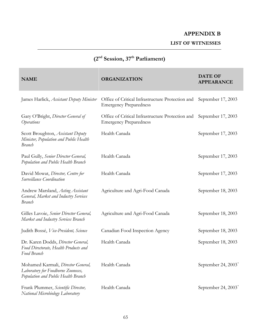## **APPENDIX B**

**LIST OF WITNESSES** 

## **(2nd Session, 37th Parliament)**

| <b>NAME</b>                                                                                                     | <b>ORGANIZATION</b>                                                               | <b>DATE OF</b><br><b>APPEARANCE</b> |
|-----------------------------------------------------------------------------------------------------------------|-----------------------------------------------------------------------------------|-------------------------------------|
| James Harlick, Assistant Deputy Minister                                                                        | Office of Critical Infrastructure Protection and<br><b>Emergency Preparedness</b> | September 17, 2003                  |
| Gary O'Bright, Director General of<br><i><b>Operations</b></i>                                                  | Office of Critical Infrastructure Protection and<br><b>Emergency Preparedness</b> | September 17, 2003                  |
| Scott Broughton, Assistant Deputy<br>Minister, Population and Public Health<br><b>Branch</b>                    | Health Canada                                                                     | September 17, 2003                  |
| Paul Gully, Senior Director General,<br>Population and Public Health Branch                                     | Health Canada                                                                     | September 17, 2003                  |
| David Mowat, Director, Centre for<br>Surveillance Coordination                                                  | Health Canada                                                                     | September 17, 2003                  |
| Andrew Marsland, Acting Assistant<br>General, Market and Industry Services<br><b>Branch</b>                     | Agriculture and Agri-Food Canada                                                  | September 18, 2003                  |
| Gilles Lavoie, Senior Director General,<br>Market and Industry Services Branch                                  | Agriculture and Agri-Food Canada                                                  | September 18, 2003                  |
| Judith Bossé, Vice-President, Science                                                                           | Canadian Food Inspection Agency                                                   | September 18, 2003                  |
| Dr. Karen Dodds, Director General,<br>Food Directorate, Health Products and<br>Food Branch                      | Health Canada                                                                     | September 18, 2003                  |
| Mohamed Karmali, Director General,<br>Laboratory for Foodborne Zoonoses,<br>Population and Public Health Branch | Health Canada                                                                     | September 24, $2003^*$              |
| Frank Plummer, Scientific Director,<br>National Microbiology Laboratory                                         | Health Canada                                                                     | September 24, $2003^*$              |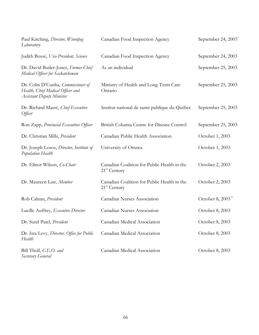| Paul Kitching, Director, Winnipeg<br>Laboratory                                                             | Canadian Food Inspection Agency                                         | September 24, 2003 <sup>*</sup> |
|-------------------------------------------------------------------------------------------------------------|-------------------------------------------------------------------------|---------------------------------|
| Judith Bossé, Vice-President, Science                                                                       | Canadian Food Inspection Agency                                         | September 24, 2003              |
| Dr. David Butler-Jones, Former Chief<br>Medical Officer for Saskatchewan                                    | As an individual                                                        | September 25, 2003              |
| Dr. Colin D'Cunha, Commissioner of<br>Health, Chief Medical Officer and<br><b>Assistant Deputy Minister</b> | Ministry of Health and Long-Term Care<br>Ontario                        | September 25, 2003              |
| Dr. Richard Massé, Chief Executive<br>Officer                                                               | Institut national de santé publique du Québec                           | September 25, 2003              |
| Ron Zapp, Provincial Executtive Officer                                                                     | British Columia Centre for Disease Control                              | September 25, 2003              |
| Dr. Christian Mills, President                                                                              | Canadian Public Health Association                                      | October 1, 2003                 |
| Dr. Joseph Losos, Director, Institute of<br>Population Health                                               | University of Ottawa                                                    | October 1, 2003                 |
| Dr. Elinor Wilson, Co-Chair                                                                                 | Canadian Coalition for Public Health in the<br>21 <sup>st</sup> Century | October 2, 2003                 |
| Dr. Maureen Law, Member                                                                                     | Canadian Coalition for Public Health in the<br>$21st$ Century           | October 2, 2003                 |
| Rob Calnan, President                                                                                       | Canadian Nurses Association                                             | October 8, 2003 <sup>**</sup>   |
| Lucille Auffrey, <i>Executive Director</i>                                                                  | Canadian Nurses Association                                             | October 8, 2003                 |
| Dr. Sunil Patel, President                                                                                  | Canadian Medical Association                                            | October 8, 2003                 |
| Dr. Isra Levy, Director, Office for Public<br>Health                                                        | Canadian Medical Association                                            | October 8, 2003                 |
| Bill Tholl, C.E.O. and<br>Secretary General                                                                 | Canadian Medical Association                                            | October 8, 2003                 |